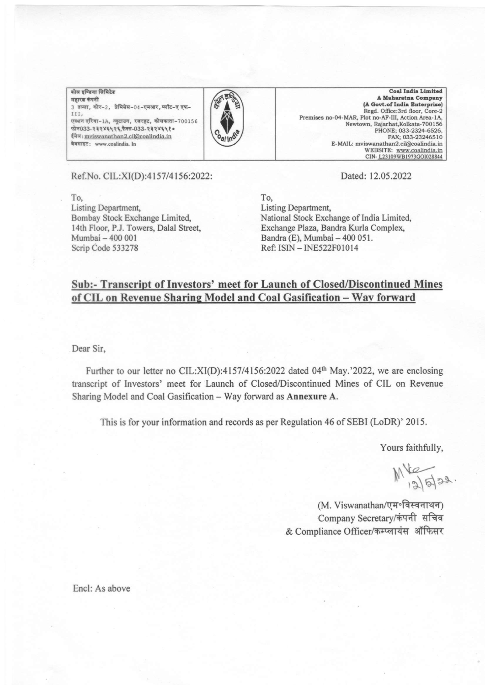<u>कोल इण्डिया लिमिटेड</u> महारत्न कंपनी 3 तल्ला, कोर-2, प्रेमिसेस-04-एमआर, प्लॉट-ए एफ-III, एक्शन एरिया-1A, न्यूटाउन, रजरहट, कोलकाता-700156 \*{o33-t rtYl\t(,h(433-11 tY(\ i. ईमेल: mviswanathan2.cil@coalindia.in वेबसाइट: www.coalindia. In



**Coal India Limited** A Maharatna Company (A Govt.of India Enterprise) Regd. Office:3rd floor, Core-2 Premises no-04-MAR, Plot no-AF-III, Action Area-1A, Newtown, Rajarhat, Kolkata-700156 PHONE; 033-2324-6526, FAX; 033-23246510 E-MAIL: mviswanathan2.cil@coalindia.in<br>WEBSITE: www.coalindia.in CIN-123109WB1973GOI028844

Ref.No. CIL:XI(D):4157/4156:2022:

To, Listing Department Bombay Stock Exchange Limited, 14th Floor, P.J. Towers, Dalal Street, Mumbai - 400 001 Scrip Code 533278

Dated:12.05.2022

To, Listing Department, National Stock Exchange of India Limited, Exchange Plaza, Bandra Kurla Complex, Bandra (E), Mumbai - 400 051. Ref: ISIN - INE522F0l0l4

# Sub:- Transcript of Investors' meet for Launch of Closed/Discontinued Mines of CIL on Revenue Sharing Model and Coal Gasification - Way forward

Dear Sir,

Further to our letter no CIL: $X I(D)$ :4157/4156:2022 dated 04<sup>th</sup> May.'2022, we are enclosing transcript of Investors' meet for Launch of Closed/Discontinued Mines of CIL on Revenue Sharing Model and Coal Gasification - Way forward as Annexure A.

This is for your information and records as per Regulation 46 of SEBI (LoDR)' 2015.

Yours faithfully,

 $M_{12}^{12}$ 

(M. Viswanathan/एम॰विस्वनाथन) Company Secretary/कंपनी सचिव & Compliance Officer/कम्प्लायंस ऑफिसर

Encl: As above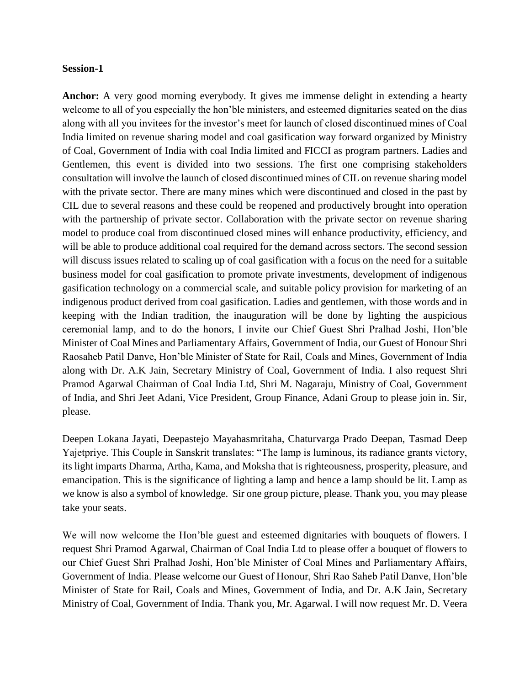### **Session-1**

**Anchor:** A very good morning everybody. It gives me immense delight in extending a hearty welcome to all of you especially the hon'ble ministers, and esteemed dignitaries seated on the dias along with all you invitees for the investor's meet for launch of closed discontinued mines of Coal India limited on revenue sharing model and coal gasification way forward organized by Ministry of Coal, Government of India with coal India limited and FICCI as program partners. Ladies and Gentlemen, this event is divided into two sessions. The first one comprising stakeholders consultation will involve the launch of closed discontinued mines of CIL on revenue sharing model with the private sector. There are many mines which were discontinued and closed in the past by CIL due to several reasons and these could be reopened and productively brought into operation with the partnership of private sector. Collaboration with the private sector on revenue sharing model to produce coal from discontinued closed mines will enhance productivity, efficiency, and will be able to produce additional coal required for the demand across sectors. The second session will discuss issues related to scaling up of coal gasification with a focus on the need for a suitable business model for coal gasification to promote private investments, development of indigenous gasification technology on a commercial scale, and suitable policy provision for marketing of an indigenous product derived from coal gasification. Ladies and gentlemen, with those words and in keeping with the Indian tradition, the inauguration will be done by lighting the auspicious ceremonial lamp, and to do the honors, I invite our Chief Guest Shri Pralhad Joshi, Hon'ble Minister of Coal Mines and Parliamentary Affairs, Government of India, our Guest of Honour Shri Raosaheb Patil Danve, Hon'ble Minister of State for Rail, Coals and Mines, Government of India along with Dr. A.K Jain, Secretary Ministry of Coal, Government of India. I also request Shri Pramod Agarwal Chairman of Coal India Ltd, Shri M. Nagaraju, Ministry of Coal, Government of India, and Shri Jeet Adani, Vice President, Group Finance, Adani Group to please join in. Sir, please.

Deepen Lokana Jayati, Deepastejo Mayahasmritaha, Chaturvarga Prado Deepan, Tasmad Deep Yajetpriye. This Couple in Sanskrit translates: "The lamp is luminous, its radiance grants victory, its light imparts Dharma, Artha, Kama, and Moksha that is righteousness, prosperity, pleasure, and emancipation. This is the significance of lighting a lamp and hence a lamp should be lit. Lamp as we know is also a symbol of knowledge. Sir one group picture, please. Thank you, you may please take your seats.

We will now welcome the Hon'ble guest and esteemed dignitaries with bouquets of flowers. I request Shri Pramod Agarwal, Chairman of Coal India Ltd to please offer a bouquet of flowers to our Chief Guest Shri Pralhad Joshi, Hon'ble Minister of Coal Mines and Parliamentary Affairs, Government of India. Please welcome our Guest of Honour, Shri Rao Saheb Patil Danve, Hon'ble Minister of State for Rail, Coals and Mines, Government of India, and Dr. A.K Jain, Secretary Ministry of Coal, Government of India. Thank you, Mr. Agarwal. I will now request Mr. D. Veera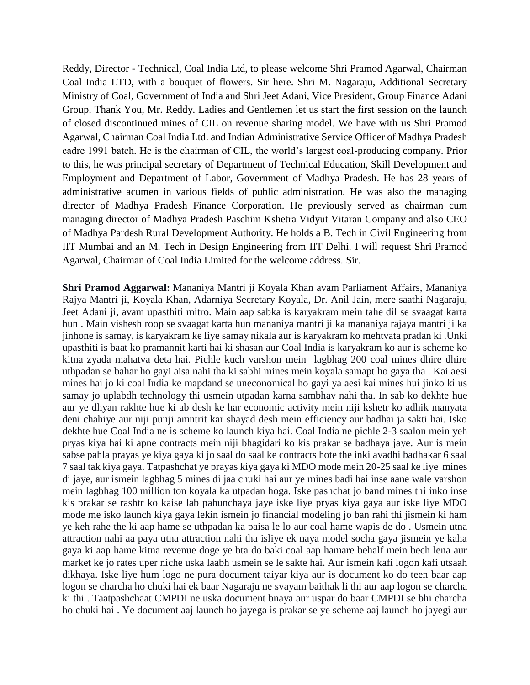Reddy, Director - Technical, Coal India Ltd, to please welcome Shri Pramod Agarwal, Chairman Coal India LTD, with a bouquet of flowers. Sir here. Shri M. Nagaraju, Additional Secretary Ministry of Coal, Government of India and Shri Jeet Adani, Vice President, Group Finance Adani Group. Thank You, Mr. Reddy. Ladies and Gentlemen let us start the first session on the launch of closed discontinued mines of CIL on revenue sharing model. We have with us Shri Pramod Agarwal, Chairman Coal India Ltd. and Indian Administrative Service Officer of Madhya Pradesh cadre 1991 batch. He is the chairman of CIL, the world's largest coal-producing company. Prior to this, he was principal secretary of Department of Technical Education, Skill Development and Employment and Department of Labor, Government of Madhya Pradesh. He has 28 years of administrative acumen in various fields of public administration. He was also the managing director of Madhya Pradesh Finance Corporation. He previously served as chairman cum managing director of Madhya Pradesh Paschim Kshetra Vidyut Vitaran Company and also CEO of Madhya Pardesh Rural Development Authority. He holds a B. Tech in Civil Engineering from IIT Mumbai and an M. Tech in Design Engineering from IIT Delhi. I will request Shri Pramod Agarwal, Chairman of Coal India Limited for the welcome address. Sir.

**Shri Pramod Aggarwal:** Mananiya Mantri ji Koyala Khan avam Parliament Affairs, Mananiya Rajya Mantri ji, Koyala Khan, Adarniya Secretary Koyala, Dr. Anil Jain, mere saathi Nagaraju, Jeet Adani ji, avam upasthiti mitro. Main aap sabka is karyakram mein tahe dil se svaagat karta hun . Main vishesh roop se svaagat karta hun mananiya mantri ji ka mananiya rajaya mantri ji ka jinhone is samay, is karyakram ke liye samay nikala aur is karyakram ko mehtvata pradan ki .Unki upasthiti is baat ko pramannit karti hai ki shasan aur Coal India is karyakram ko aur is scheme ko kitna zyada mahatva deta hai. Pichle kuch varshon mein lagbhag 200 coal mines dhire dhire uthpadan se bahar ho gayi aisa nahi tha ki sabhi mines mein koyala samapt ho gaya tha . Kai aesi mines hai jo ki coal India ke mapdand se uneconomical ho gayi ya aesi kai mines hui jinko ki us samay jo uplabdh technology thi usmein utpadan karna sambhav nahi tha. In sab ko dekhte hue aur ye dhyan rakhte hue ki ab desh ke har economic activity mein niji kshetr ko adhik manyata deni chahiye aur niji punji amntrit kar shayad desh mein efficiency aur badhai ja sakti hai. Isko dekhte hue Coal India ne is scheme ko launch kiya hai. Coal India ne pichle 2-3 saalon mein yeh pryas kiya hai ki apne contracts mein niji bhagidari ko kis prakar se badhaya jaye. Aur is mein sabse pahla prayas ye kiya gaya ki jo saal do saal ke contracts hote the inki avadhi badhakar 6 saal 7 saal tak kiya gaya. Tatpashchat ye prayas kiya gaya ki MDO mode mein 20-25 saal ke liye mines di jaye, aur ismein lagbhag 5 mines di jaa chuki hai aur ye mines badi hai inse aane wale varshon mein lagbhag 100 million ton koyala ka utpadan hoga. Iske pashchat jo band mines thi inko inse kis prakar se rashtr ko kaise lab pahunchaya jaye iske liye pryas kiya gaya aur iske liye MDO mode me isko launch kiya gaya lekin ismein jo financial modeling jo ban rahi thi jismein ki ham ye keh rahe the ki aap hame se uthpadan ka paisa le lo aur coal hame wapis de do . Usmein utna attraction nahi aa paya utna attraction nahi tha isliye ek naya model socha gaya jismein ye kaha gaya ki aap hame kitna revenue doge ye bta do baki coal aap hamare behalf mein bech lena aur market ke jo rates uper niche uska laabh usmein se le sakte hai. Aur ismein kafi logon kafi utsaah dikhaya. Iske liye hum logo ne pura document taiyar kiya aur is document ko do teen baar aap logon se charcha ho chuki hai ek baar Nagaraju ne svayam baithak li thi aur aap logon se charcha ki thi . Taatpashchaat CMPDI ne uska document bnaya aur uspar do baar CMPDI se bhi charcha ho chuki hai . Ye document aaj launch ho jayega is prakar se ye scheme aaj launch ho jayegi aur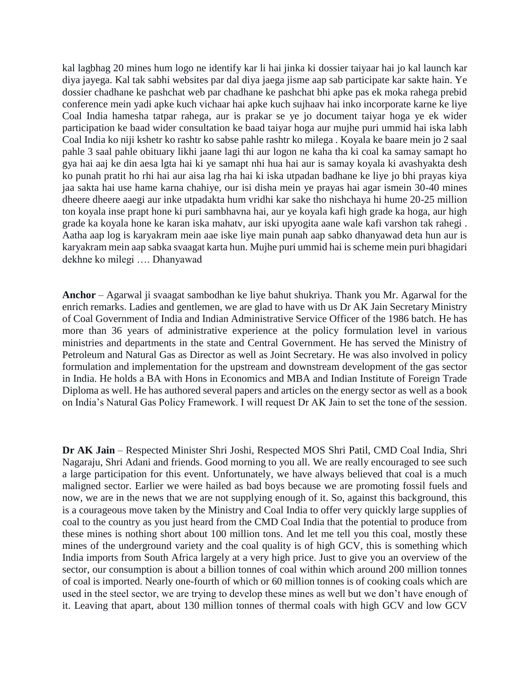kal lagbhag 20 mines hum logo ne identify kar li hai jinka ki dossier taiyaar hai jo kal launch kar diya jayega. Kal tak sabhi websites par dal diya jaega jisme aap sab participate kar sakte hain. Ye dossier chadhane ke pashchat web par chadhane ke pashchat bhi apke pas ek moka rahega prebid conference mein yadi apke kuch vichaar hai apke kuch sujhaav hai inko incorporate karne ke liye Coal India hamesha tatpar rahega, aur is prakar se ye jo document taiyar hoga ye ek wider participation ke baad wider consultation ke baad taiyar hoga aur mujhe puri ummid hai iska labh Coal India ko niji kshetr ko rashtr ko sabse pahle rashtr ko milega . Koyala ke baare mein jo 2 saal pahle 3 saal pahle obituary likhi jaane lagi thi aur logon ne kaha tha ki coal ka samay samapt ho gya hai aaj ke din aesa lgta hai ki ye samapt nhi hua hai aur is samay koyala ki avashyakta desh ko punah pratit ho rhi hai aur aisa lag rha hai ki iska utpadan badhane ke liye jo bhi prayas kiya jaa sakta hai use hame karna chahiye, our isi disha mein ye prayas hai agar ismein 30-40 mines dheere dheere aaegi aur inke utpadakta hum vridhi kar sake tho nishchaya hi hume 20-25 million ton koyala inse prapt hone ki puri sambhavna hai, aur ye koyala kafi high grade ka hoga, aur high grade ka koyala hone ke karan iska mahatv, aur iski upyogita aane wale kafi varshon tak rahegi . Aatha aap log is karyakram mein aae iske liye main punah aap sabko dhanyawad deta hun aur is karyakram mein aap sabka svaagat karta hun. Mujhe puri ummid hai is scheme mein puri bhagidari dekhne ko milegi …. Dhanyawad

**Anchor** – Agarwal ji svaagat sambodhan ke liye bahut shukriya. Thank you Mr. Agarwal for the enrich remarks. Ladies and gentlemen, we are glad to have with us Dr AK Jain Secretary Ministry of Coal Government of India and Indian Administrative Service Officer of the 1986 batch. He has more than 36 years of administrative experience at the policy formulation level in various ministries and departments in the state and Central Government. He has served the Ministry of Petroleum and Natural Gas as Director as well as Joint Secretary. He was also involved in policy formulation and implementation for the upstream and downstream development of the gas sector in India. He holds a BA with Hons in Economics and MBA and Indian Institute of Foreign Trade Diploma as well. He has authored several papers and articles on the energy sector as well as a book on India's Natural Gas Policy Framework. I will request Dr AK Jain to set the tone of the session.

**Dr AK Jain** – Respected Minister Shri Joshi, Respected MOS Shri Patil, CMD Coal India, Shri Nagaraju, Shri Adani and friends. Good morning to you all. We are really encouraged to see such a large participation for this event. Unfortunately, we have always believed that coal is a much maligned sector. Earlier we were hailed as bad boys because we are promoting fossil fuels and now, we are in the news that we are not supplying enough of it. So, against this background, this is a courageous move taken by the Ministry and Coal India to offer very quickly large supplies of coal to the country as you just heard from the CMD Coal India that the potential to produce from these mines is nothing short about 100 million tons. And let me tell you this coal, mostly these mines of the underground variety and the coal quality is of high GCV, this is something which India imports from South Africa largely at a very high price. Just to give you an overview of the sector, our consumption is about a billion tonnes of coal within which around 200 million tonnes of coal is imported. Nearly one-fourth of which or 60 million tonnes is of cooking coals which are used in the steel sector, we are trying to develop these mines as well but we don't have enough of it. Leaving that apart, about 130 million tonnes of thermal coals with high GCV and low GCV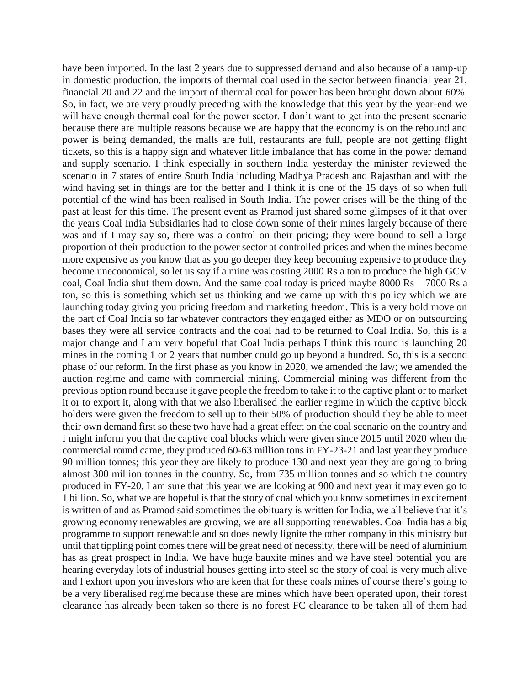have been imported. In the last 2 years due to suppressed demand and also because of a ramp-up in domestic production, the imports of thermal coal used in the sector between financial year 21, financial 20 and 22 and the import of thermal coal for power has been brought down about 60%. So, in fact, we are very proudly preceding with the knowledge that this year by the year-end we will have enough thermal coal for the power sector. I don't want to get into the present scenario because there are multiple reasons because we are happy that the economy is on the rebound and power is being demanded, the malls are full, restaurants are full, people are not getting flight tickets, so this is a happy sign and whatever little imbalance that has come in the power demand and supply scenario. I think especially in southern India yesterday the minister reviewed the scenario in 7 states of entire South India including Madhya Pradesh and Rajasthan and with the wind having set in things are for the better and I think it is one of the 15 days of so when full potential of the wind has been realised in South India. The power crises will be the thing of the past at least for this time. The present event as Pramod just shared some glimpses of it that over the years Coal India Subsidiaries had to close down some of their mines largely because of there was and if I may say so, there was a control on their pricing; they were bound to sell a large proportion of their production to the power sector at controlled prices and when the mines become more expensive as you know that as you go deeper they keep becoming expensive to produce they become uneconomical, so let us say if a mine was costing 2000 Rs a ton to produce the high GCV coal, Coal India shut them down. And the same coal today is priced maybe 8000 Rs – 7000 Rs a ton, so this is something which set us thinking and we came up with this policy which we are launching today giving you pricing freedom and marketing freedom. This is a very bold move on the part of Coal India so far whatever contractors they engaged either as MDO or on outsourcing bases they were all service contracts and the coal had to be returned to Coal India. So, this is a major change and I am very hopeful that Coal India perhaps I think this round is launching 20 mines in the coming 1 or 2 years that number could go up beyond a hundred. So, this is a second phase of our reform. In the first phase as you know in 2020, we amended the law; we amended the auction regime and came with commercial mining. Commercial mining was different from the previous option round because it gave people the freedom to take it to the captive plant or to market it or to export it, along with that we also liberalised the earlier regime in which the captive block holders were given the freedom to sell up to their 50% of production should they be able to meet their own demand first so these two have had a great effect on the coal scenario on the country and I might inform you that the captive coal blocks which were given since 2015 until 2020 when the commercial round came, they produced 60-63 million tons in FY-23-21 and last year they produce 90 million tonnes; this year they are likely to produce 130 and next year they are going to bring almost 300 million tonnes in the country. So, from 735 million tonnes and so which the country produced in FY-20, I am sure that this year we are looking at 900 and next year it may even go to 1 billion. So, what we are hopeful is that the story of coal which you know sometimes in excitement is written of and as Pramod said sometimes the obituary is written for India, we all believe that it's growing economy renewables are growing, we are all supporting renewables. Coal India has a big programme to support renewable and so does newly lignite the other company in this ministry but until that tippling point comes there will be great need of necessity, there will be need of aluminium has as great prospect in India. We have huge bauxite mines and we have steel potential you are hearing everyday lots of industrial houses getting into steel so the story of coal is very much alive and I exhort upon you investors who are keen that for these coals mines of course there's going to be a very liberalised regime because these are mines which have been operated upon, their forest clearance has already been taken so there is no forest FC clearance to be taken all of them had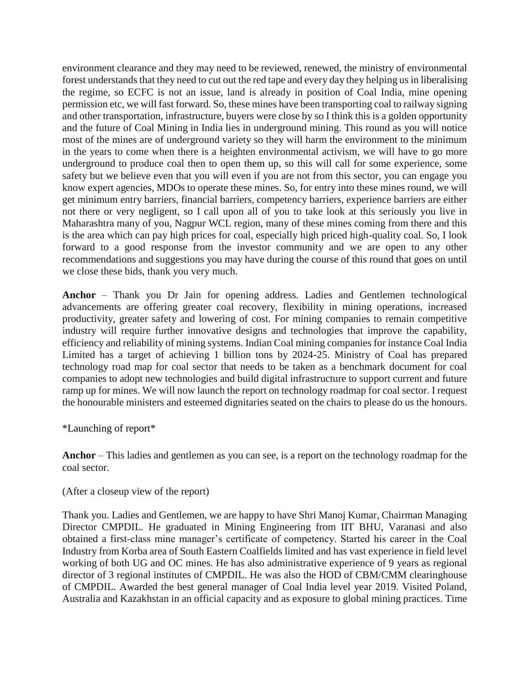environment clearance and they may need to be reviewed, renewed, the ministry of environmental forest understands that they need to cut out the red tape and every day they helping us in liberalising the regime, so ECFC is not an issue, land is already in position of Coal India, mine opening permission etc, we will fast forward. So, these mines have been transporting coal to railway signing and other transportation, infrastructure, buyers were close by so I think this is a golden opportunity and the future of Coal Mining in India lies in underground mining. This round as you will notice most of the mines are of underground variety so they will harm the environment to the minimum in the years to come when there is a heighten environmental activism, we will have to go more underground to produce coal then to open them up, so this will call for some experience, some safety but we believe even that you will even if you are not from this sector, you can engage you know expert agencies, MDOs to operate these mines. So, for entry into these mines round, we will get minimum entry barriers, financial barriers, competency barriers, experience barriers are either not there or very negligent, so I call upon all of you to take look at this seriously you live in Maharashtra many of you, Nagpur WCL region, many of these mines coming from there and this is the area which can pay high prices for coal, especially high priced high-quality coal. So, I look forward to a good response from the investor community and we are open to any other recommendations and suggestions you may have during the course of this round that goes on until we close these bids, thank you very much.

**Anchor** – Thank you Dr Jain for opening address. Ladies and Gentlemen technological advancements are offering greater coal recovery, flexibility in mining operations, increased productivity, greater safety and lowering of cost. For mining companies to remain competitive industry will require further innovative designs and technologies that improve the capability, efficiency and reliability of mining systems. Indian Coal mining companies for instance Coal India Limited has a target of achieving 1 billion tons by 2024-25. Ministry of Coal has prepared technology road map for coal sector that needs to be taken as a benchmark document for coal companies to adopt new technologies and build digital infrastructure to support current and future ramp up for mines. We will now launch the report on technology roadmap for coal sector. I request the honourable ministers and esteemed dignitaries seated on the chairs to please do us the honours.

\*Launching of report\*

**Anchor** – This ladies and gentlemen as you can see, is a report on the technology roadmap for the coal sector.

(After a closeup view of the report)

Thank you. Ladies and Gentlemen, we are happy to have Shri Manoj Kumar, Chairman Managing Director CMPDIL. He graduated in Mining Engineering from IIT BHU, Varanasi and also obtained a first-class mine manager's certificate of competency. Started his career in the Coal Industry from Korba area of South Eastern Coalfields limited and has vast experience in field level working of both UG and OC mines. He has also administrative experience of 9 years as regional director of 3 regional institutes of CMPDIL. He was also the HOD of CBM/CMM clearinghouse of CMPDIL. Awarded the best general manager of Coal India level year 2019. Visited Poland, Australia and Kazakhstan in an official capacity and as exposure to global mining practices. Time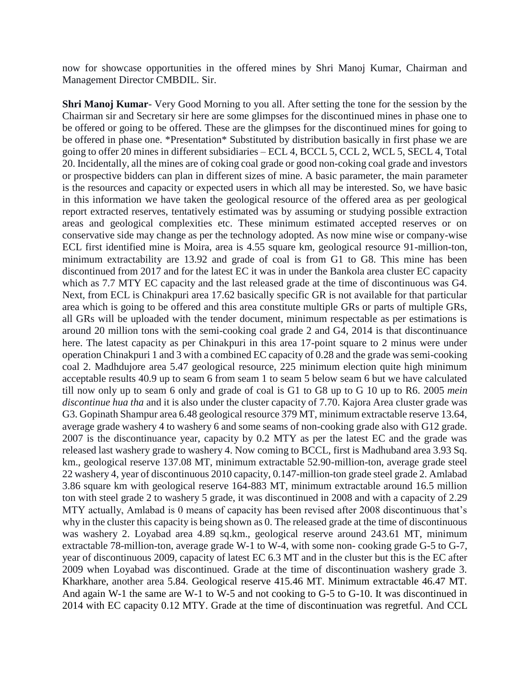now for showcase opportunities in the offered mines by Shri Manoj Kumar, Chairman and Management Director CMBDIL. Sir.

**Shri Manoj Kumar**- Very Good Morning to you all. After setting the tone for the session by the Chairman sir and Secretary sir here are some glimpses for the discontinued mines in phase one to be offered or going to be offered. These are the glimpses for the discontinued mines for going to be offered in phase one. \*Presentation\* Substituted by distribution basically in first phase we are going to offer 20 mines in different subsidiaries – ECL 4, BCCL 5, CCL 2, WCL 5, SECL 4, Total 20. Incidentally, all the mines are of coking coal grade or good non-coking coal grade and investors or prospective bidders can plan in different sizes of mine. A basic parameter, the main parameter is the resources and capacity or expected users in which all may be interested. So, we have basic in this information we have taken the geological resource of the offered area as per geological report extracted reserves, tentatively estimated was by assuming or studying possible extraction areas and geological complexities etc. These minimum estimated accepted reserves or on conservative side may change as per the technology adopted. As now mine wise or company-wise ECL first identified mine is Moira, area is 4.55 square km, geological resource 91-million-ton, minimum extractability are 13.92 and grade of coal is from G1 to G8. This mine has been discontinued from 2017 and for the latest EC it was in under the Bankola area cluster EC capacity which as 7.7 MTY EC capacity and the last released grade at the time of discontinuous was G4. Next, from ECL is Chinakpuri area 17.62 basically specific GR is not available for that particular area which is going to be offered and this area constitute multiple GRs or parts of multiple GRs, all GRs will be uploaded with the tender document, minimum respectable as per estimations is around 20 million tons with the semi-cooking coal grade 2 and G4, 2014 is that discontinuance here. The latest capacity as per Chinakpuri in this area 17-point square to 2 minus were under operation Chinakpuri 1 and 3 with a combined EC capacity of 0.28 and the grade was semi-cooking coal 2. Madhdujore area 5.47 geological resource, 225 minimum election quite high minimum acceptable results 40.9 up to seam 6 from seam 1 to seam 5 below seam 6 but we have calculated till now only up to seam 6 only and grade of coal is G1 to G8 up to G 10 up to R6. 2005 *mein discontinue hua tha* and it is also under the cluster capacity of 7.70. Kajora Area cluster grade was G3. Gopinath Shampur area 6.48 geological resource 379 MT, minimum extractable reserve 13.64, average grade washery 4 to washery 6 and some seams of non-cooking grade also with G12 grade. 2007 is the discontinuance year, capacity by 0.2 MTY as per the latest EC and the grade was released last washery grade to washery 4. Now coming to BCCL, first is Madhuband area 3.93 Sq. km., geological reserve 137.08 MT, minimum extractable 52.90-million-ton, average grade steel 22 washery 4, year of discontinuous 2010 capacity, 0.147-million-ton grade steel grade 2. Amlabad 3.86 square km with geological reserve 164-883 MT, minimum extractable around 16.5 million ton with steel grade 2 to washery 5 grade, it was discontinued in 2008 and with a capacity of 2.29 MTY actually, Amlabad is 0 means of capacity has been revised after 2008 discontinuous that's why in the cluster this capacity is being shown as 0. The released grade at the time of discontinuous was washery 2. Loyabad area 4.89 sq.km., geological reserve around 243.61 MT, minimum extractable 78-million-ton, average grade W-1 to W-4, with some non- cooking grade G-5 to G-7, year of discontinuous 2009, capacity of latest EC 6.3 MT and in the cluster but this is the EC after 2009 when Loyabad was discontinued. Grade at the time of discontinuation washery grade 3. Kharkhare, another area 5.84. Geological reserve 415.46 MT. Minimum extractable 46.47 MT. And again W-1 the same are W-1 to W-5 and not cooking to G-5 to G-10. It was discontinued in 2014 with EC capacity 0.12 MTY. Grade at the time of discontinuation was regretful. And CCL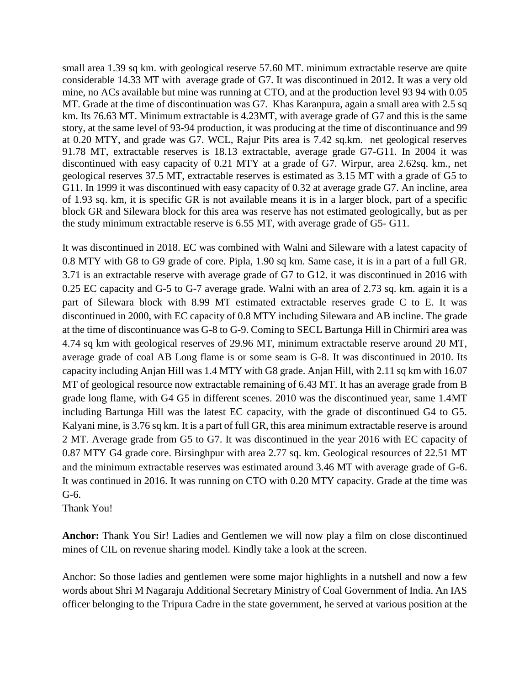small area 1.39 sq km. with geological reserve 57.60 MT. minimum extractable reserve are quite considerable 14.33 MT with average grade of G7. It was discontinued in 2012. It was a very old mine, no ACs available but mine was running at CTO, and at the production level 93 94 with 0.05 MT. Grade at the time of discontinuation was G7. Khas Karanpura, again a small area with 2.5 sq km. Its 76.63 MT. Minimum extractable is 4.23MT, with average grade of G7 and this is the same story, at the same level of 93-94 production, it was producing at the time of discontinuance and 99 at 0.20 MTY, and grade was G7. WCL, Rajur Pits area is 7.42 sq.km. net geological reserves 91.78 MT, extractable reserves is 18.13 extractable, average grade G7-G11. In 2004 it was discontinued with easy capacity of 0.21 MTY at a grade of G7. Wirpur, area 2.62sq. km., net geological reserves 37.5 MT, extractable reserves is estimated as 3.15 MT with a grade of G5 to G11. In 1999 it was discontinued with easy capacity of 0.32 at average grade G7. An incline, area of 1.93 sq. km, it is specific GR is not available means it is in a larger block, part of a specific block GR and Silewara block for this area was reserve has not estimated geologically, but as per the study minimum extractable reserve is 6.55 MT, with average grade of G5- G11.

It was discontinued in 2018. EC was combined with Walni and Sileware with a latest capacity of 0.8 MTY with G8 to G9 grade of core. Pipla, 1.90 sq km. Same case, it is in a part of a full GR. 3.71 is an extractable reserve with average grade of G7 to G12. it was discontinued in 2016 with 0.25 EC capacity and G-5 to G-7 average grade. Walni with an area of 2.73 sq. km. again it is a part of Silewara block with 8.99 MT estimated extractable reserves grade C to E. It was discontinued in 2000, with EC capacity of 0.8 MTY including Silewara and AB incline. The grade at the time of discontinuance was G-8 to G-9. Coming to SECL Bartunga Hill in Chirmiri area was 4.74 sq km with geological reserves of 29.96 MT, minimum extractable reserve around 20 MT, average grade of coal AB Long flame is or some seam is G-8. It was discontinued in 2010. Its capacity including Anjan Hill was 1.4 MTY with G8 grade. Anjan Hill, with 2.11 sq km with 16.07 MT of geological resource now extractable remaining of 6.43 MT. It has an average grade from B grade long flame, with G4 G5 in different scenes. 2010 was the discontinued year, same 1.4MT including Bartunga Hill was the latest EC capacity, with the grade of discontinued G4 to G5. Kalyani mine, is 3.76 sq km. It is a part of full GR, this area minimum extractable reserve is around 2 MT. Average grade from G5 to G7. It was discontinued in the year 2016 with EC capacity of 0.87 MTY G4 grade core. Birsinghpur with area 2.77 sq. km. Geological resources of 22.51 MT and the minimum extractable reserves was estimated around 3.46 MT with average grade of G-6. It was continued in 2016. It was running on CTO with 0.20 MTY capacity. Grade at the time was G-6.

Thank You!

**Anchor:** Thank You Sir! Ladies and Gentlemen we will now play a film on close discontinued mines of CIL on revenue sharing model. Kindly take a look at the screen.

Anchor: So those ladies and gentlemen were some major highlights in a nutshell and now a few words about Shri M Nagaraju Additional Secretary Ministry of Coal Government of India. An IAS officer belonging to the Tripura Cadre in the state government, he served at various position at the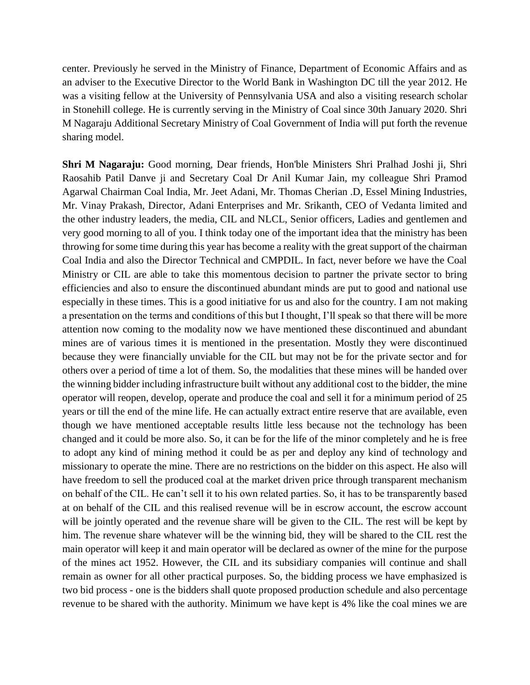center. Previously he served in the Ministry of Finance, Department of Economic Affairs and as an adviser to the Executive Director to the World Bank in Washington DC till the year 2012. He was a visiting fellow at the University of Pennsylvania USA and also a visiting research scholar in Stonehill college. He is currently serving in the Ministry of Coal since 30th January 2020. Shri M Nagaraju Additional Secretary Ministry of Coal Government of India will put forth the revenue sharing model.

**Shri M Nagaraju:** Good morning, Dear friends, Hon'ble Ministers Shri Pralhad Joshi ji, Shri Raosahib Patil Danve ji and Secretary Coal Dr Anil Kumar Jain, my colleague Shri Pramod Agarwal Chairman Coal India, Mr. Jeet Adani, Mr. Thomas Cherian .D, Essel Mining Industries, Mr. Vinay Prakash, Director, Adani Enterprises and Mr. Srikanth, CEO of Vedanta limited and the other industry leaders, the media, CIL and NLCL, Senior officers, Ladies and gentlemen and very good morning to all of you. I think today one of the important idea that the ministry has been throwing for some time during this year has become a reality with the great support of the chairman Coal India and also the Director Technical and CMPDIL. In fact, never before we have the Coal Ministry or CIL are able to take this momentous decision to partner the private sector to bring efficiencies and also to ensure the discontinued abundant minds are put to good and national use especially in these times. This is a good initiative for us and also for the country. I am not making a presentation on the terms and conditions of this but I thought, I'll speak so that there will be more attention now coming to the modality now we have mentioned these discontinued and abundant mines are of various times it is mentioned in the presentation. Mostly they were discontinued because they were financially unviable for the CIL but may not be for the private sector and for others over a period of time a lot of them. So, the modalities that these mines will be handed over the winning bidder including infrastructure built without any additional cost to the bidder, the mine operator will reopen, develop, operate and produce the coal and sell it for a minimum period of 25 years or till the end of the mine life. He can actually extract entire reserve that are available, even though we have mentioned acceptable results little less because not the technology has been changed and it could be more also. So, it can be for the life of the minor completely and he is free to adopt any kind of mining method it could be as per and deploy any kind of technology and missionary to operate the mine. There are no restrictions on the bidder on this aspect. He also will have freedom to sell the produced coal at the market driven price through transparent mechanism on behalf of the CIL. He can't sell it to his own related parties. So, it has to be transparently based at on behalf of the CIL and this realised revenue will be in escrow account, the escrow account will be jointly operated and the revenue share will be given to the CIL. The rest will be kept by him. The revenue share whatever will be the winning bid, they will be shared to the CIL rest the main operator will keep it and main operator will be declared as owner of the mine for the purpose of the mines act 1952. However, the CIL and its subsidiary companies will continue and shall remain as owner for all other practical purposes. So, the bidding process we have emphasized is two bid process - one is the bidders shall quote proposed production schedule and also percentage revenue to be shared with the authority. Minimum we have kept is 4% like the coal mines we are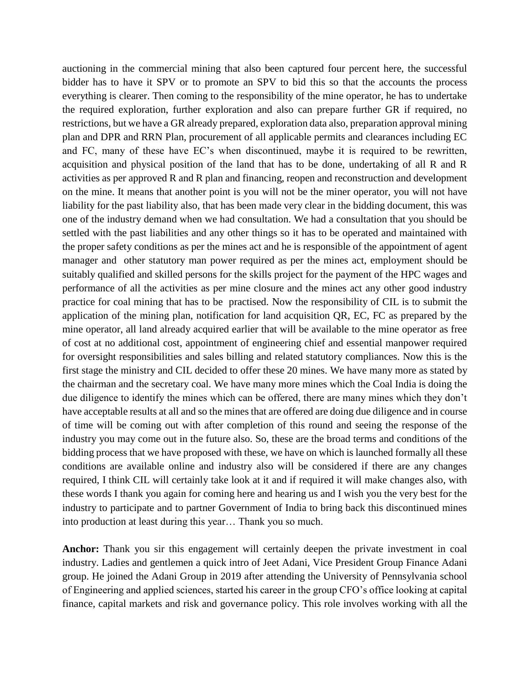auctioning in the commercial mining that also been captured four percent here, the successful bidder has to have it SPV or to promote an SPV to bid this so that the accounts the process everything is clearer. Then coming to the responsibility of the mine operator, he has to undertake the required exploration, further exploration and also can prepare further GR if required, no restrictions, but we have a GR already prepared, exploration data also, preparation approval mining plan and DPR and RRN Plan, procurement of all applicable permits and clearances including EC and FC, many of these have EC's when discontinued, maybe it is required to be rewritten, acquisition and physical position of the land that has to be done, undertaking of all R and R activities as per approved R and R plan and financing, reopen and reconstruction and development on the mine. It means that another point is you will not be the miner operator, you will not have liability for the past liability also, that has been made very clear in the bidding document, this was one of the industry demand when we had consultation. We had a consultation that you should be settled with the past liabilities and any other things so it has to be operated and maintained with the proper safety conditions as per the mines act and he is responsible of the appointment of agent manager and other statutory man power required as per the mines act, employment should be suitably qualified and skilled persons for the skills project for the payment of the HPC wages and performance of all the activities as per mine closure and the mines act any other good industry practice for coal mining that has to be practised. Now the responsibility of CIL is to submit the application of the mining plan, notification for land acquisition QR, EC, FC as prepared by the mine operator, all land already acquired earlier that will be available to the mine operator as free of cost at no additional cost, appointment of engineering chief and essential manpower required for oversight responsibilities and sales billing and related statutory compliances. Now this is the first stage the ministry and CIL decided to offer these 20 mines. We have many more as stated by the chairman and the secretary coal. We have many more mines which the Coal India is doing the due diligence to identify the mines which can be offered, there are many mines which they don't have acceptable results at all and so the mines that are offered are doing due diligence and in course of time will be coming out with after completion of this round and seeing the response of the industry you may come out in the future also. So, these are the broad terms and conditions of the bidding process that we have proposed with these, we have on which is launched formally all these conditions are available online and industry also will be considered if there are any changes required, I think CIL will certainly take look at it and if required it will make changes also, with these words I thank you again for coming here and hearing us and I wish you the very best for the industry to participate and to partner Government of India to bring back this discontinued mines into production at least during this year… Thank you so much.

**Anchor:** Thank you sir this engagement will certainly deepen the private investment in coal industry. Ladies and gentlemen a quick intro of Jeet Adani, Vice President Group Finance Adani group. He joined the Adani Group in 2019 after attending the University of Pennsylvania school of Engineering and applied sciences, started his career in the group CFO's office looking at capital finance, capital markets and risk and governance policy. This role involves working with all the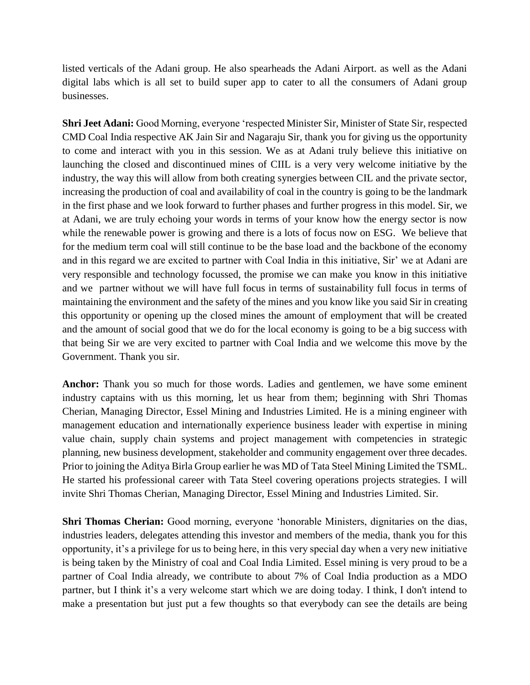listed verticals of the Adani group. He also spearheads the Adani Airport. as well as the Adani digital labs which is all set to build super app to cater to all the consumers of Adani group businesses.

**Shri Jeet Adani:** Good Morning, everyone 'respected Minister Sir, Minister of State Sir, respected CMD Coal India respective AK Jain Sir and Nagaraju Sir, thank you for giving us the opportunity to come and interact with you in this session. We as at Adani truly believe this initiative on launching the closed and discontinued mines of CIIL is a very very welcome initiative by the industry, the way this will allow from both creating synergies between CIL and the private sector, increasing the production of coal and availability of coal in the country is going to be the landmark in the first phase and we look forward to further phases and further progress in this model. Sir, we at Adani, we are truly echoing your words in terms of your know how the energy sector is now while the renewable power is growing and there is a lots of focus now on ESG. We believe that for the medium term coal will still continue to be the base load and the backbone of the economy and in this regard we are excited to partner with Coal India in this initiative, Sir' we at Adani are very responsible and technology focussed, the promise we can make you know in this initiative and we partner without we will have full focus in terms of sustainability full focus in terms of maintaining the environment and the safety of the mines and you know like you said Sir in creating this opportunity or opening up the closed mines the amount of employment that will be created and the amount of social good that we do for the local economy is going to be a big success with that being Sir we are very excited to partner with Coal India and we welcome this move by the Government. Thank you sir.

**Anchor:** Thank you so much for those words. Ladies and gentlemen, we have some eminent industry captains with us this morning, let us hear from them; beginning with Shri Thomas Cherian, Managing Director, Essel Mining and Industries Limited. He is a mining engineer with management education and internationally experience business leader with expertise in mining value chain, supply chain systems and project management with competencies in strategic planning, new business development, stakeholder and community engagement over three decades. Prior to joining the Aditya Birla Group earlier he was MD of Tata Steel Mining Limited the TSML. He started his professional career with Tata Steel covering operations projects strategies. I will invite Shri Thomas Cherian, Managing Director, Essel Mining and Industries Limited. Sir.

**Shri Thomas Cherian:** Good morning, everyone 'honorable Ministers, dignitaries on the dias, industries leaders, delegates attending this investor and members of the media, thank you for this opportunity, it's a privilege for us to being here, in this very special day when a very new initiative is being taken by the Ministry of coal and Coal India Limited. Essel mining is very proud to be a partner of Coal India already, we contribute to about 7% of Coal India production as a MDO partner, but I think it's a very welcome start which we are doing today. I think, I don't intend to make a presentation but just put a few thoughts so that everybody can see the details are being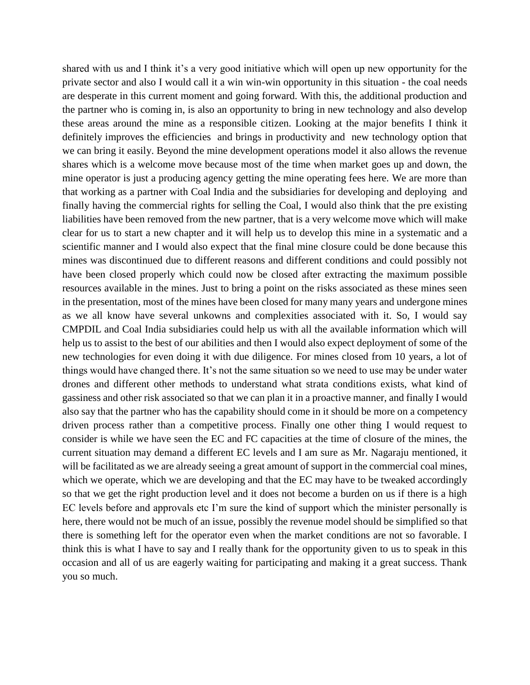shared with us and I think it's a very good initiative which will open up new opportunity for the private sector and also I would call it a win win-win opportunity in this situation - the coal needs are desperate in this current moment and going forward. With this, the additional production and the partner who is coming in, is also an opportunity to bring in new technology and also develop these areas around the mine as a responsible citizen. Looking at the major benefits I think it definitely improves the efficiencies and brings in productivity and new technology option that we can bring it easily. Beyond the mine development operations model it also allows the revenue shares which is a welcome move because most of the time when market goes up and down, the mine operator is just a producing agency getting the mine operating fees here. We are more than that working as a partner with Coal India and the subsidiaries for developing and deploying and finally having the commercial rights for selling the Coal, I would also think that the pre existing liabilities have been removed from the new partner, that is a very welcome move which will make clear for us to start a new chapter and it will help us to develop this mine in a systematic and a scientific manner and I would also expect that the final mine closure could be done because this mines was discontinued due to different reasons and different conditions and could possibly not have been closed properly which could now be closed after extracting the maximum possible resources available in the mines. Just to bring a point on the risks associated as these mines seen in the presentation, most of the mines have been closed for many many years and undergone mines as we all know have several unkowns and complexities associated with it. So, I would say CMPDIL and Coal India subsidiaries could help us with all the available information which will help us to assist to the best of our abilities and then I would also expect deployment of some of the new technologies for even doing it with due diligence. For mines closed from 10 years, a lot of things would have changed there. It's not the same situation so we need to use may be under water drones and different other methods to understand what strata conditions exists, what kind of gassiness and other risk associated so that we can plan it in a proactive manner, and finally I would also say that the partner who has the capability should come in it should be more on a competency driven process rather than a competitive process. Finally one other thing I would request to consider is while we have seen the EC and FC capacities at the time of closure of the mines, the current situation may demand a different EC levels and I am sure as Mr. Nagaraju mentioned, it will be facilitated as we are already seeing a great amount of support in the commercial coal mines, which we operate, which we are developing and that the EC may have to be tweaked accordingly so that we get the right production level and it does not become a burden on us if there is a high EC levels before and approvals etc I'm sure the kind of support which the minister personally is here, there would not be much of an issue, possibly the revenue model should be simplified so that there is something left for the operator even when the market conditions are not so favorable. I think this is what I have to say and I really thank for the opportunity given to us to speak in this occasion and all of us are eagerly waiting for participating and making it a great success. Thank you so much.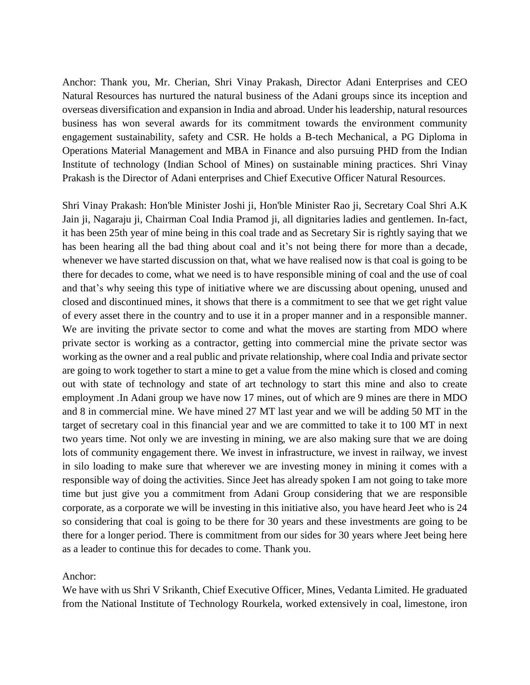Anchor: Thank you, Mr. Cherian, Shri Vinay Prakash, Director Adani Enterprises and CEO Natural Resources has nurtured the natural business of the Adani groups since its inception and overseas diversification and expansion in India and abroad. Under his leadership, natural resources business has won several awards for its commitment towards the environment community engagement sustainability, safety and CSR. He holds a B-tech Mechanical, a PG Diploma in Operations Material Management and MBA in Finance and also pursuing PHD from the Indian Institute of technology (Indian School of Mines) on sustainable mining practices. Shri Vinay Prakash is the Director of Adani enterprises and Chief Executive Officer Natural Resources.

Shri Vinay Prakash: Hon'ble Minister Joshi ji, Hon'ble Minister Rao ji, Secretary Coal Shri A.K Jain ji, Nagaraju ji, Chairman Coal India Pramod ji, all dignitaries ladies and gentlemen. In-fact, it has been 25th year of mine being in this coal trade and as Secretary Sir is rightly saying that we has been hearing all the bad thing about coal and it's not being there for more than a decade, whenever we have started discussion on that, what we have realised now is that coal is going to be there for decades to come, what we need is to have responsible mining of coal and the use of coal and that's why seeing this type of initiative where we are discussing about opening, unused and closed and discontinued mines, it shows that there is a commitment to see that we get right value of every asset there in the country and to use it in a proper manner and in a responsible manner. We are inviting the private sector to come and what the moves are starting from MDO where private sector is working as a contractor, getting into commercial mine the private sector was working as the owner and a real public and private relationship, where coal India and private sector are going to work together to start a mine to get a value from the mine which is closed and coming out with state of technology and state of art technology to start this mine and also to create employment .In Adani group we have now 17 mines, out of which are 9 mines are there in MDO and 8 in commercial mine. We have mined 27 MT last year and we will be adding 50 MT in the target of secretary coal in this financial year and we are committed to take it to 100 MT in next two years time. Not only we are investing in mining, we are also making sure that we are doing lots of community engagement there. We invest in infrastructure, we invest in railway, we invest in silo loading to make sure that wherever we are investing money in mining it comes with a responsible way of doing the activities. Since Jeet has already spoken I am not going to take more time but just give you a commitment from Adani Group considering that we are responsible corporate, as a corporate we will be investing in this initiative also, you have heard Jeet who is 24 so considering that coal is going to be there for 30 years and these investments are going to be there for a longer period. There is commitment from our sides for 30 years where Jeet being here as a leader to continue this for decades to come. Thank you.

## Anchor:

We have with us Shri V Srikanth, Chief Executive Officer, Mines, Vedanta Limited. He graduated from the National Institute of Technology Rourkela, worked extensively in coal, limestone, iron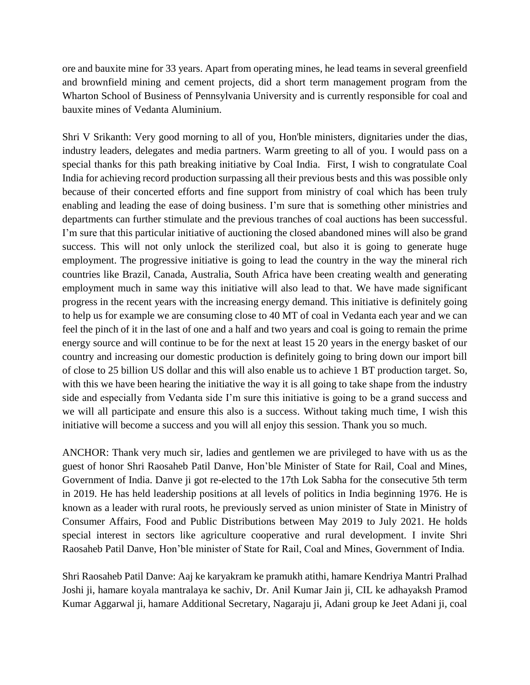ore and bauxite mine for 33 years. Apart from operating mines, he lead teams in several greenfield and brownfield mining and cement projects, did a short term management program from the Wharton School of Business of Pennsylvania University and is currently responsible for coal and bauxite mines of Vedanta Aluminium.

Shri V Srikanth: Very good morning to all of you, Hon'ble ministers, dignitaries under the dias, industry leaders, delegates and media partners. Warm greeting to all of you. I would pass on a special thanks for this path breaking initiative by Coal India. First, I wish to congratulate Coal India for achieving record production surpassing all their previous bests and this was possible only because of their concerted efforts and fine support from ministry of coal which has been truly enabling and leading the ease of doing business. I'm sure that is something other ministries and departments can further stimulate and the previous tranches of coal auctions has been successful. I'm sure that this particular initiative of auctioning the closed abandoned mines will also be grand success. This will not only unlock the sterilized coal, but also it is going to generate huge employment. The progressive initiative is going to lead the country in the way the mineral rich countries like Brazil, Canada, Australia, South Africa have been creating wealth and generating employment much in same way this initiative will also lead to that. We have made significant progress in the recent years with the increasing energy demand. This initiative is definitely going to help us for example we are consuming close to 40 MT of coal in Vedanta each year and we can feel the pinch of it in the last of one and a half and two years and coal is going to remain the prime energy source and will continue to be for the next at least 15 20 years in the energy basket of our country and increasing our domestic production is definitely going to bring down our import bill of close to 25 billion US dollar and this will also enable us to achieve 1 BT production target. So, with this we have been hearing the initiative the way it is all going to take shape from the industry side and especially from Vedanta side I'm sure this initiative is going to be a grand success and we will all participate and ensure this also is a success. Without taking much time, I wish this initiative will become a success and you will all enjoy this session. Thank you so much.

ANCHOR: Thank very much sir, ladies and gentlemen we are privileged to have with us as the guest of honor Shri Raosaheb Patil Danve, Hon'ble Minister of State for Rail, Coal and Mines, Government of India. Danve ji got re-elected to the 17th Lok Sabha for the consecutive 5th term in 2019. He has held leadership positions at all levels of politics in India beginning 1976. He is known as a leader with rural roots, he previously served as union minister of State in Ministry of Consumer Affairs, Food and Public Distributions between May 2019 to July 2021. He holds special interest in sectors like agriculture cooperative and rural development. I invite Shri Raosaheb Patil Danve, Hon'ble minister of State for Rail, Coal and Mines, Government of India.

Shri Raosaheb Patil Danve: Aaj ke karyakram ke pramukh atithi, hamare Kendriya Mantri Pralhad Joshi ji, hamare koyala mantralaya ke sachiv, Dr. Anil Kumar Jain ji, CIL ke adhayaksh Pramod Kumar Aggarwal ji, hamare Additional Secretary, Nagaraju ji, Adani group ke Jeet Adani ji, coal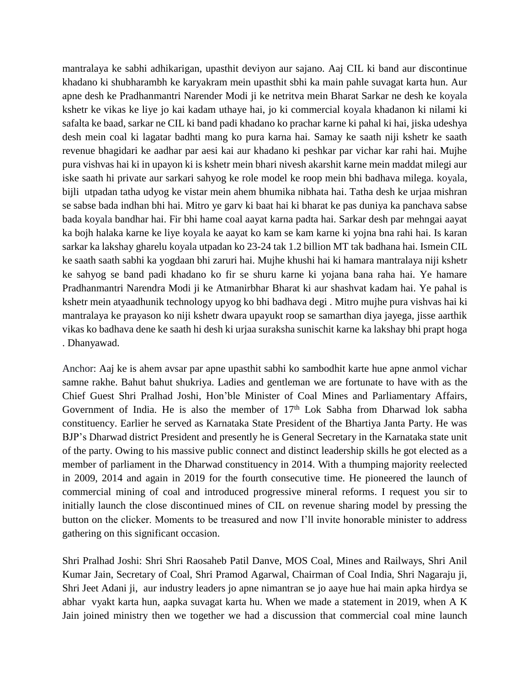mantralaya ke sabhi adhikarigan, upasthit deviyon aur sajano. Aaj CIL ki band aur discontinue khadano ki shubharambh ke karyakram mein upasthit sbhi ka main pahle suvagat karta hun. Aur apne desh ke Pradhanmantri Narender Modi ji ke netritva mein Bharat Sarkar ne desh ke koyala kshetr ke vikas ke liye jo kai kadam uthaye hai, jo ki commercial koyala khadanon ki nilami ki safalta ke baad, sarkar ne CIL ki band padi khadano ko prachar karne ki pahal ki hai, jiska udeshya desh mein coal ki lagatar badhti mang ko pura karna hai. Samay ke saath niji kshetr ke saath revenue bhagidari ke aadhar par aesi kai aur khadano ki peshkar par vichar kar rahi hai. Mujhe pura vishvas hai ki in upayon ki is kshetr mein bhari nivesh akarshit karne mein maddat milegi aur iske saath hi private aur sarkari sahyog ke role model ke roop mein bhi badhava milega. koyala, bijli utpadan tatha udyog ke vistar mein ahem bhumika nibhata hai. Tatha desh ke urjaa mishran se sabse bada indhan bhi hai. Mitro ye garv ki baat hai ki bharat ke pas duniya ka panchava sabse bada koyala bandhar hai. Fir bhi hame coal aayat karna padta hai. Sarkar desh par mehngai aayat ka bojh halaka karne ke liye koyala ke aayat ko kam se kam karne ki yojna bna rahi hai. Is karan sarkar ka lakshay gharelu koyala utpadan ko 23-24 tak 1.2 billion MT tak badhana hai. Ismein CIL ke saath saath sabhi ka yogdaan bhi zaruri hai. Mujhe khushi hai ki hamara mantralaya niji kshetr ke sahyog se band padi khadano ko fir se shuru karne ki yojana bana raha hai. Ye hamare Pradhanmantri Narendra Modi ji ke Atmanirbhar Bharat ki aur shashvat kadam hai. Ye pahal is kshetr mein atyaadhunik technology upyog ko bhi badhava degi . Mitro mujhe pura vishvas hai ki mantralaya ke prayason ko niji kshetr dwara upayukt roop se samarthan diya jayega, jisse aarthik vikas ko badhava dene ke saath hi desh ki urjaa suraksha sunischit karne ka lakshay bhi prapt hoga . Dhanyawad.

Anchor: Aaj ke is ahem avsar par apne upasthit sabhi ko sambodhit karte hue apne anmol vichar samne rakhe. Bahut bahut shukriya. Ladies and gentleman we are fortunate to have with as the Chief Guest Shri Pralhad Joshi, Hon'ble Minister of Coal Mines and Parliamentary Affairs, Government of India. He is also the member of  $17<sup>th</sup>$  Lok Sabha from Dharwad lok sabha constituency. Earlier he served as Karnataka State President of the Bhartiya Janta Party. He was BJP's Dharwad district President and presently he is General Secretary in the Karnataka state unit of the party. Owing to his massive public connect and distinct leadership skills he got elected as a member of parliament in the Dharwad constituency in 2014. With a thumping majority reelected in 2009, 2014 and again in 2019 for the fourth consecutive time. He pioneered the launch of commercial mining of coal and introduced progressive mineral reforms. I request you sir to initially launch the close discontinued mines of CIL on revenue sharing model by pressing the button on the clicker. Moments to be treasured and now I'll invite honorable minister to address gathering on this significant occasion.

Shri Pralhad Joshi: Shri Shri Raosaheb Patil Danve, MOS Coal, Mines and Railways, Shri Anil Kumar Jain, Secretary of Coal, Shri Pramod Agarwal, Chairman of Coal India, Shri Nagaraju ji, Shri Jeet Adani ji, aur industry leaders jo apne nimantran se jo aaye hue hai main apka hirdya se abhar vyakt karta hun, aapka suvagat karta hu. When we made a statement in 2019, when A K Jain joined ministry then we together we had a discussion that commercial coal mine launch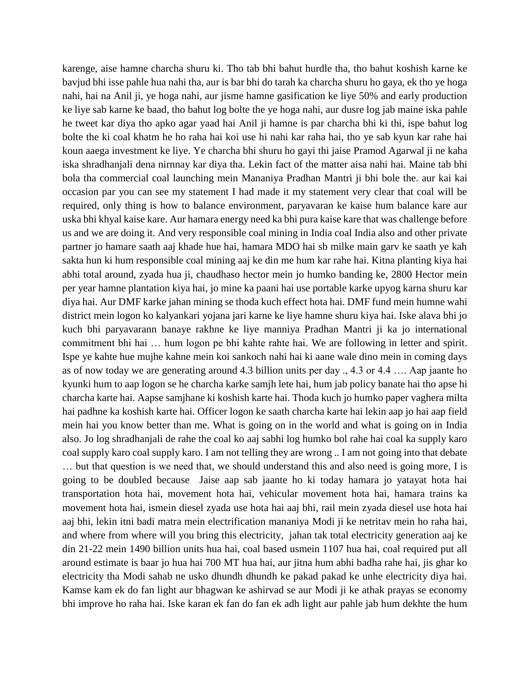karenge, aise hamne charcha shuru ki. Tho tab bhi bahut hurdle tha, tho bahut koshish karne ke bavjud bhi isse pahle hua nahi tha, aur is bar bhi do tarah ka charcha shuru ho gaya, ek tho ye hoga nahi, hai na Anil ji, ye hoga nahi, aur jisme hamne gasification ke liye 50% and early production ke liye sab karne ke baad, tho bahut log bolte the ye hoga nahi, aur dusre log jab maine iska pahle he tweet kar diya tho apko agar yaad hai Anil ji hamne is par charcha bhi ki thi, ispe bahut log bolte the ki coal khatm he ho raha hai koi use hi nahi kar raha hai, tho ye sab kyun kar rahe hai koun aaega investment ke liye. Ye charcha bhi shuru ho gayi thi jaise Pramod Agarwal ji ne kaha iska shradhanjali dena nirnnay kar diya tha. Lekin fact of the matter aisa nahi hai. Maine tab bhi bola tha commercial coal launching mein Mananiya Pradhan Mantri ji bhi bole the. aur kai kai occasion par you can see my statement I had made it my statement very clear that coal will be required, only thing is how to balance environment, paryavaran ke kaise hum balance kare aur uska bhi khyal kaise kare. Aur hamara energy need ka bhi pura kaise kare that was challenge before us and we are doing it. And very responsible coal mining in India coal India also and other private partner jo hamare saath aaj khade hue hai, hamara MDO hai sb milke main garv ke saath ye kah sakta hun ki hum responsible coal mining aaj ke din me hum kar rahe hai. Kitna planting kiya hai abhi total around, zyada hua ji, chaudhaso hector mein jo humko banding ke, 2800 Hector mein per year hamne plantation kiya hai, jo mine ka paani hai use portable karke upyog karna shuru kar diya hai. Aur DMF karke jahan mining se thoda kuch effect hota hai. DMF fund mein humne wahi district mein logon ko kalyankari yojana jari karne ke liye hamne shuru kiya hai. Iske alava bhi jo kuch bhi paryavarann banaye rakhne ke liye manniya Pradhan Mantri ji ka jo international commitment bhi hai … hum logon pe bhi kahte rahte hai. We are following in letter and spirit. Ispe ye kahte hue mujhe kahne mein koi sankoch nahi hai ki aane wale dino mein in coming days as of now today we are generating around 4.3 billion units per day ., 4.3 or 4.4 …. Aap jaante ho kyunki hum to aap logon se he charcha karke samjh lete hai, hum jab policy banate hai tho apse hi charcha karte hai. Aapse samjhane ki koshish karte hai. Thoda kuch jo humko paper vaghera milta hai padhne ka koshish karte hai. Officer logon ke saath charcha karte hai lekin aap jo hai aap field mein hai you know better than me. What is going on in the world and what is going on in India also. Jo log shradhanjali de rahe the coal ko aaj sabhi log humko bol rahe hai coal ka supply karo coal supply karo coal supply karo. I am not telling they are wrong .. I am not going into that debate … but that question is we need that, we should understand this and also need is going more, I is going to be doubled because Jaise aap sab jaante ho ki today hamara jo yatayat hota hai transportation hota hai, movement hota hai, vehicular movement hota hai, hamara trains ka movement hota hai, ismein diesel zyada use hota hai aaj bhi, rail mein zyada diesel use hota hai aaj bhi, lekin itni badi matra mein electrification mananiya Modi ji ke netritav mein ho raha hai, and where from where will you bring this electricity, jahan tak total electricity generation aaj ke din 21-22 mein 1490 billion units hua hai, coal based usmein 1107 hua hai, coal required put all around estimate is baar jo hua hai 700 MT hua hai, aur jitna hum abhi badha rahe hai, jis ghar ko electricity tha Modi sahab ne usko dhundh dhundh ke pakad pakad ke unhe electricity diya hai. Kamse kam ek do fan light aur bhagwan ke ashirvad se aur Modi ji ke athak prayas se economy bhi improve ho raha hai. Iske karan ek fan do fan ek adh light aur pahle jab hum dekhte the hum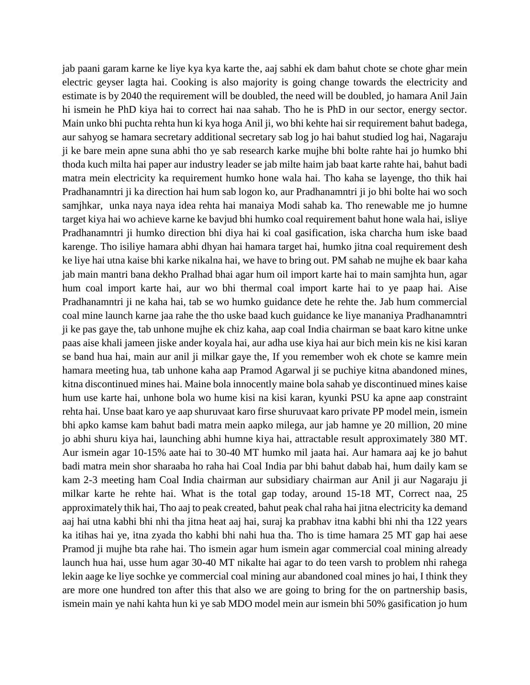jab paani garam karne ke liye kya kya karte the, aaj sabhi ek dam bahut chote se chote ghar mein electric geyser lagta hai. Cooking is also majority is going change towards the electricity and estimate is by 2040 the requirement will be doubled, the need will be doubled, jo hamara Anil Jain hi ismein he PhD kiya hai to correct hai naa sahab. Tho he is PhD in our sector, energy sector. Main unko bhi puchta rehta hun ki kya hoga Anil ji, wo bhi kehte hai sir requirement bahut badega, aur sahyog se hamara secretary additional secretary sab log jo hai bahut studied log hai, Nagaraju ji ke bare mein apne suna abhi tho ye sab research karke mujhe bhi bolte rahte hai jo humko bhi thoda kuch milta hai paper aur industry leader se jab milte haim jab baat karte rahte hai, bahut badi matra mein electricity ka requirement humko hone wala hai. Tho kaha se layenge, tho thik hai Pradhanamntri ji ka direction hai hum sab logon ko, aur Pradhanamntri ji jo bhi bolte hai wo soch samjhkar, unka naya naya idea rehta hai manaiya Modi sahab ka. Tho renewable me jo humne target kiya hai wo achieve karne ke bavjud bhi humko coal requirement bahut hone wala hai, isliye Pradhanamntri ji humko direction bhi diya hai ki coal gasification, iska charcha hum iske baad karenge. Tho isiliye hamara abhi dhyan hai hamara target hai, humko jitna coal requirement desh ke liye hai utna kaise bhi karke nikalna hai, we have to bring out. PM sahab ne mujhe ek baar kaha jab main mantri bana dekho Pralhad bhai agar hum oil import karte hai to main samjhta hun, agar hum coal import karte hai, aur wo bhi thermal coal import karte hai to ye paap hai. Aise Pradhanamntri ji ne kaha hai, tab se wo humko guidance dete he rehte the. Jab hum commercial coal mine launch karne jaa rahe the tho uske baad kuch guidance ke liye mananiya Pradhanamntri ji ke pas gaye the, tab unhone mujhe ek chiz kaha, aap coal India chairman se baat karo kitne unke paas aise khali jameen jiske ander koyala hai, aur adha use kiya hai aur bich mein kis ne kisi karan se band hua hai, main aur anil ji milkar gaye the, If you remember woh ek chote se kamre mein hamara meeting hua, tab unhone kaha aap Pramod Agarwal ji se puchiye kitna abandoned mines, kitna discontinued mines hai. Maine bola innocently maine bola sahab ye discontinued mines kaise hum use karte hai, unhone bola wo hume kisi na kisi karan, kyunki PSU ka apne aap constraint rehta hai. Unse baat karo ye aap shuruvaat karo firse shuruvaat karo private PP model mein, ismein bhi apko kamse kam bahut badi matra mein aapko milega, aur jab hamne ye 20 million, 20 mine jo abhi shuru kiya hai, launching abhi humne kiya hai, attractable result approximately 380 MT. Aur ismein agar 10-15% aate hai to 30-40 MT humko mil jaata hai. Aur hamara aaj ke jo bahut badi matra mein shor sharaaba ho raha hai Coal India par bhi bahut dabab hai, hum daily kam se kam 2-3 meeting ham Coal India chairman aur subsidiary chairman aur Anil ji aur Nagaraju ji milkar karte he rehte hai. What is the total gap today, around 15-18 MT, Correct naa, 25 approximately thik hai, Tho aaj to peak created, bahut peak chal raha hai jitna electricity ka demand aaj hai utna kabhi bhi nhi tha jitna heat aaj hai, suraj ka prabhav itna kabhi bhi nhi tha 122 years ka itihas hai ye, itna zyada tho kabhi bhi nahi hua tha. Tho is time hamara 25 MT gap hai aese Pramod ji mujhe bta rahe hai. Tho ismein agar hum ismein agar commercial coal mining already launch hua hai, usse hum agar 30-40 MT nikalte hai agar to do teen varsh to problem nhi rahega lekin aage ke liye sochke ye commercial coal mining aur abandoned coal mines jo hai, I think they are more one hundred ton after this that also we are going to bring for the on partnership basis, ismein main ye nahi kahta hun ki ye sab MDO model mein aur ismein bhi 50% gasification jo hum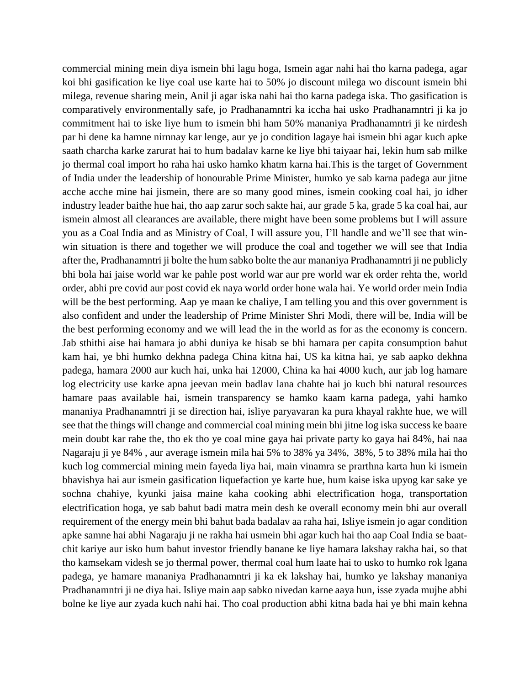commercial mining mein diya ismein bhi lagu hoga, Ismein agar nahi hai tho karna padega, agar koi bhi gasification ke liye coal use karte hai to 50% jo discount milega wo discount ismein bhi milega, revenue sharing mein, Anil ji agar iska nahi hai tho karna padega iska. Tho gasification is comparatively environmentally safe, jo Pradhanamntri ka iccha hai usko Pradhanamntri ji ka jo commitment hai to iske liye hum to ismein bhi ham 50% mananiya Pradhanamntri ji ke nirdesh par hi dene ka hamne nirnnay kar lenge, aur ye jo condition lagaye hai ismein bhi agar kuch apke saath charcha karke zarurat hai to hum badalav karne ke liye bhi taiyaar hai, lekin hum sab milke jo thermal coal import ho raha hai usko hamko khatm karna hai.This is the target of Government of India under the leadership of honourable Prime Minister, humko ye sab karna padega aur jitne acche acche mine hai jismein, there are so many good mines, ismein cooking coal hai, jo idher industry leader baithe hue hai, tho aap zarur soch sakte hai, aur grade 5 ka, grade 5 ka coal hai, aur ismein almost all clearances are available, there might have been some problems but I will assure you as a Coal India and as Ministry of Coal, I will assure you, I'll handle and we'll see that winwin situation is there and together we will produce the coal and together we will see that India after the, Pradhanamntri ji bolte the hum sabko bolte the aur mananiya Pradhanamntri ji ne publicly bhi bola hai jaise world war ke pahle post world war aur pre world war ek order rehta the, world order, abhi pre covid aur post covid ek naya world order hone wala hai. Ye world order mein India will be the best performing. Aap ye maan ke chaliye, I am telling you and this over government is also confident and under the leadership of Prime Minister Shri Modi, there will be, India will be the best performing economy and we will lead the in the world as for as the economy is concern. Jab sthithi aise hai hamara jo abhi duniya ke hisab se bhi hamara per capita consumption bahut kam hai, ye bhi humko dekhna padega China kitna hai, US ka kitna hai, ye sab aapko dekhna padega, hamara 2000 aur kuch hai, unka hai 12000, China ka hai 4000 kuch, aur jab log hamare log electricity use karke apna jeevan mein badlav lana chahte hai jo kuch bhi natural resources hamare paas available hai, ismein transparency se hamko kaam karna padega, yahi hamko mananiya Pradhanamntri ji se direction hai, isliye paryavaran ka pura khayal rakhte hue, we will see that the things will change and commercial coal mining mein bhi jitne log iska success ke baare mein doubt kar rahe the, tho ek tho ye coal mine gaya hai private party ko gaya hai 84%, hai naa Nagaraju ji ye 84% , aur average ismein mila hai 5% to 38% ya 34%, 38%, 5 to 38% mila hai tho kuch log commercial mining mein fayeda liya hai, main vinamra se prarthna karta hun ki ismein bhavishya hai aur ismein gasification liquefaction ye karte hue, hum kaise iska upyog kar sake ye sochna chahiye, kyunki jaisa maine kaha cooking abhi electrification hoga, transportation electrification hoga, ye sab bahut badi matra mein desh ke overall economy mein bhi aur overall requirement of the energy mein bhi bahut bada badalav aa raha hai, Isliye ismein jo agar condition apke samne hai abhi Nagaraju ji ne rakha hai usmein bhi agar kuch hai tho aap Coal India se baatchit kariye aur isko hum bahut investor friendly banane ke liye hamara lakshay rakha hai, so that tho kamsekam videsh se jo thermal power, thermal coal hum laate hai to usko to humko rok lgana padega, ye hamare mananiya Pradhanamntri ji ka ek lakshay hai, humko ye lakshay mananiya Pradhanamntri ji ne diya hai. Isliye main aap sabko nivedan karne aaya hun, isse zyada mujhe abhi bolne ke liye aur zyada kuch nahi hai. Tho coal production abhi kitna bada hai ye bhi main kehna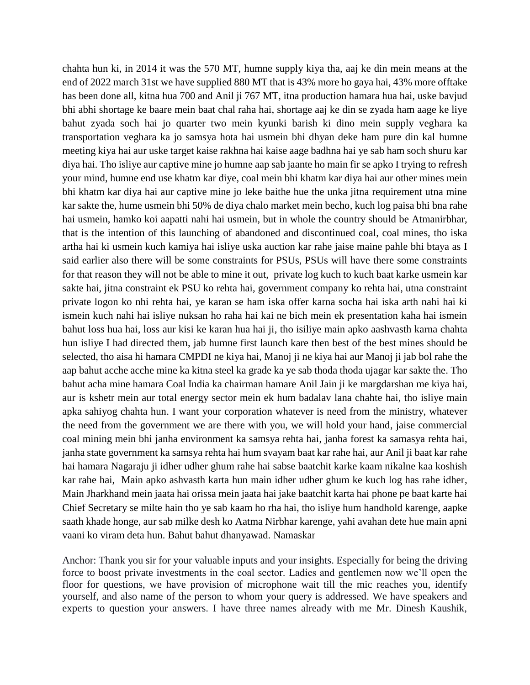chahta hun ki, in 2014 it was the 570 MT, humne supply kiya tha, aaj ke din mein means at the end of 2022 march 31st we have supplied 880 MT that is 43% more ho gaya hai, 43% more offtake has been done all, kitna hua 700 and Anil ji 767 MT, itna production hamara hua hai, uske bavjud bhi abhi shortage ke baare mein baat chal raha hai, shortage aaj ke din se zyada ham aage ke liye bahut zyada soch hai jo quarter two mein kyunki barish ki dino mein supply veghara ka transportation veghara ka jo samsya hota hai usmein bhi dhyan deke ham pure din kal humne meeting kiya hai aur uske target kaise rakhna hai kaise aage badhna hai ye sab ham soch shuru kar diya hai. Tho isliye aur captive mine jo humne aap sab jaante ho main fir se apko I trying to refresh your mind, humne end use khatm kar diye, coal mein bhi khatm kar diya hai aur other mines mein bhi khatm kar diya hai aur captive mine jo leke baithe hue the unka jitna requirement utna mine kar sakte the, hume usmein bhi 50% de diya chalo market mein becho, kuch log paisa bhi bna rahe hai usmein, hamko koi aapatti nahi hai usmein, but in whole the country should be Atmanirbhar, that is the intention of this launching of abandoned and discontinued coal, coal mines, tho iska artha hai ki usmein kuch kamiya hai isliye uska auction kar rahe jaise maine pahle bhi btaya as I said earlier also there will be some constraints for PSUs, PSUs will have there some constraints for that reason they will not be able to mine it out, private log kuch to kuch baat karke usmein kar sakte hai, jitna constraint ek PSU ko rehta hai, government company ko rehta hai, utna constraint private logon ko nhi rehta hai, ye karan se ham iska offer karna socha hai iska arth nahi hai ki ismein kuch nahi hai isliye nuksan ho raha hai kai ne bich mein ek presentation kaha hai ismein bahut loss hua hai, loss aur kisi ke karan hua hai ji, tho isiliye main apko aashvasth karna chahta hun isliye I had directed them, jab humne first launch kare then best of the best mines should be selected, tho aisa hi hamara CMPDI ne kiya hai, Manoj ji ne kiya hai aur Manoj ji jab bol rahe the aap bahut acche acche mine ka kitna steel ka grade ka ye sab thoda thoda ujagar kar sakte the. Tho bahut acha mine hamara Coal India ka chairman hamare Anil Jain ji ke margdarshan me kiya hai, aur is kshetr mein aur total energy sector mein ek hum badalav lana chahte hai, tho isliye main apka sahiyog chahta hun. I want your corporation whatever is need from the ministry, whatever the need from the government we are there with you, we will hold your hand, jaise commercial coal mining mein bhi janha environment ka samsya rehta hai, janha forest ka samasya rehta hai, janha state government ka samsya rehta hai hum svayam baat kar rahe hai, aur Anil ji baat kar rahe hai hamara Nagaraju ji idher udher ghum rahe hai sabse baatchit karke kaam nikalne kaa koshish kar rahe hai, Main apko ashvasth karta hun main idher udher ghum ke kuch log has rahe idher, Main Jharkhand mein jaata hai orissa mein jaata hai jake baatchit karta hai phone pe baat karte hai Chief Secretary se milte hain tho ye sab kaam ho rha hai, tho isliye hum handhold karenge, aapke saath khade honge, aur sab milke desh ko Aatma Nirbhar karenge, yahi avahan dete hue main apni vaani ko viram deta hun. Bahut bahut dhanyawad. Namaskar

Anchor: Thank you sir for your valuable inputs and your insights. Especially for being the driving force to boost private investments in the coal sector. Ladies and gentlemen now we'll open the floor for questions, we have provision of microphone wait till the mic reaches you, identify yourself, and also name of the person to whom your query is addressed. We have speakers and experts to question your answers. I have three names already with me Mr. Dinesh Kaushik,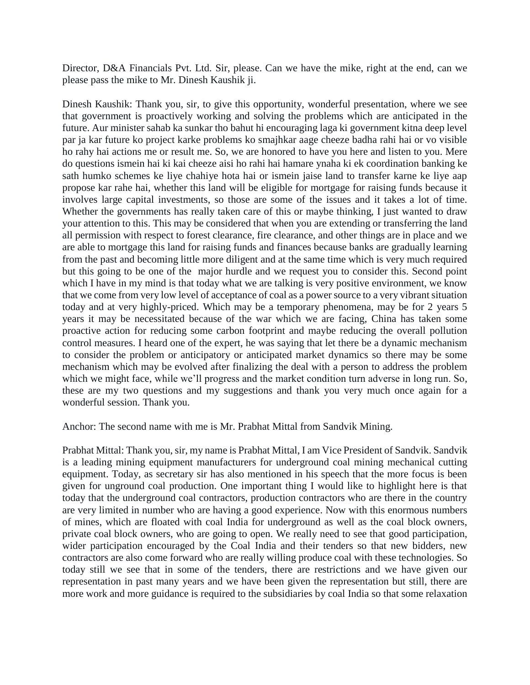Director, D&A Financials Pvt. Ltd. Sir, please. Can we have the mike, right at the end, can we please pass the mike to Mr. Dinesh Kaushik ji.

Dinesh Kaushik: Thank you, sir, to give this opportunity, wonderful presentation, where we see that government is proactively working and solving the problems which are anticipated in the future. Aur minister sahab ka sunkar tho bahut hi encouraging laga ki government kitna deep level par ja kar future ko project karke problems ko smajhkar aage cheeze badha rahi hai or vo visible ho rahy hai actions me or result me. So, we are honored to have you here and listen to you. Mere do questions ismein hai ki kai cheeze aisi ho rahi hai hamare ynaha ki ek coordination banking ke sath humko schemes ke liye chahiye hota hai or ismein jaise land to transfer karne ke liye aap propose kar rahe hai, whether this land will be eligible for mortgage for raising funds because it involves large capital investments, so those are some of the issues and it takes a lot of time. Whether the governments has really taken care of this or maybe thinking, I just wanted to draw your attention to this. This may be considered that when you are extending or transferring the land all permission with respect to forest clearance, fire clearance, and other things are in place and we are able to mortgage this land for raising funds and finances because banks are gradually learning from the past and becoming little more diligent and at the same time which is very much required but this going to be one of the major hurdle and we request you to consider this. Second point which I have in my mind is that today what we are talking is very positive environment, we know that we come from very low level of acceptance of coal as a power source to a very vibrant situation today and at very highly-priced. Which may be a temporary phenomena, may be for 2 years 5 years it may be necessitated because of the war which we are facing, China has taken some proactive action for reducing some carbon footprint and maybe reducing the overall pollution control measures. I heard one of the expert, he was saying that let there be a dynamic mechanism to consider the problem or anticipatory or anticipated market dynamics so there may be some mechanism which may be evolved after finalizing the deal with a person to address the problem which we might face, while we'll progress and the market condition turn adverse in long run. So, these are my two questions and my suggestions and thank you very much once again for a wonderful session. Thank you.

Anchor: The second name with me is Mr. Prabhat Mittal from Sandvik Mining.

Prabhat Mittal: Thank you, sir, my name is Prabhat Mittal, I am Vice President of Sandvik. Sandvik is a leading mining equipment manufacturers for underground coal mining mechanical cutting equipment. Today, as secretary sir has also mentioned in his speech that the more focus is been given for unground coal production. One important thing I would like to highlight here is that today that the underground coal contractors, production contractors who are there in the country are very limited in number who are having a good experience. Now with this enormous numbers of mines, which are floated with coal India for underground as well as the coal block owners, private coal block owners, who are going to open. We really need to see that good participation, wider participation encouraged by the Coal India and their tenders so that new bidders, new contractors are also come forward who are really willing produce coal with these technologies. So today still we see that in some of the tenders, there are restrictions and we have given our representation in past many years and we have been given the representation but still, there are more work and more guidance is required to the subsidiaries by coal India so that some relaxation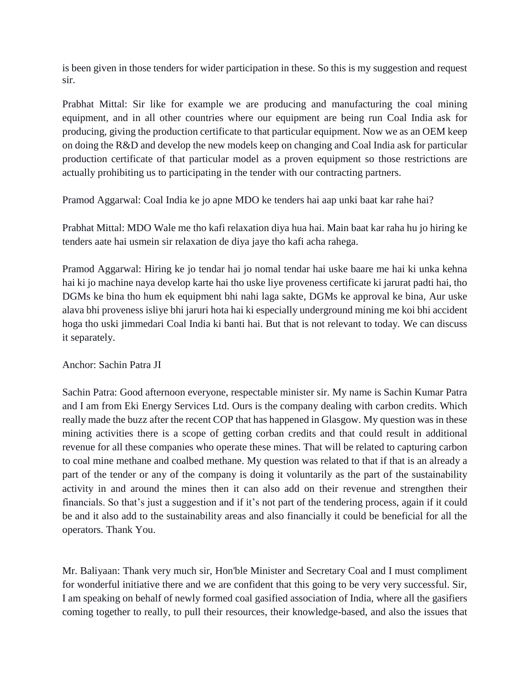is been given in those tenders for wider participation in these. So this is my suggestion and request sir.

Prabhat Mittal: Sir like for example we are producing and manufacturing the coal mining equipment, and in all other countries where our equipment are being run Coal India ask for producing, giving the production certificate to that particular equipment. Now we as an OEM keep on doing the R&D and develop the new models keep on changing and Coal India ask for particular production certificate of that particular model as a proven equipment so those restrictions are actually prohibiting us to participating in the tender with our contracting partners.

Pramod Aggarwal: Coal India ke jo apne MDO ke tenders hai aap unki baat kar rahe hai?

Prabhat Mittal: MDO Wale me tho kafi relaxation diya hua hai. Main baat kar raha hu jo hiring ke tenders aate hai usmein sir relaxation de diya jaye tho kafi acha rahega.

Pramod Aggarwal: Hiring ke jo tendar hai jo nomal tendar hai uske baare me hai ki unka kehna hai ki jo machine naya develop karte hai tho uske liye proveness certificate ki jarurat padti hai, tho DGMs ke bina tho hum ek equipment bhi nahi laga sakte, DGMs ke approval ke bina, Aur uske alava bhi proveness isliye bhi jaruri hota hai ki especially underground mining me koi bhi accident hoga tho uski jimmedari Coal India ki banti hai. But that is not relevant to today. We can discuss it separately.

# Anchor: Sachin Patra JI

Sachin Patra: Good afternoon everyone, respectable minister sir. My name is Sachin Kumar Patra and I am from Eki Energy Services Ltd. Ours is the company dealing with carbon credits. Which really made the buzz after the recent COP that has happened in Glasgow. My question was in these mining activities there is a scope of getting corban credits and that could result in additional revenue for all these companies who operate these mines. That will be related to capturing carbon to coal mine methane and coalbed methane. My question was related to that if that is an already a part of the tender or any of the company is doing it voluntarily as the part of the sustainability activity in and around the mines then it can also add on their revenue and strengthen their financials. So that's just a suggestion and if it's not part of the tendering process, again if it could be and it also add to the sustainability areas and also financially it could be beneficial for all the operators. Thank You.

Mr. Baliyaan: Thank very much sir, Hon'ble Minister and Secretary Coal and I must compliment for wonderful initiative there and we are confident that this going to be very very successful. Sir, I am speaking on behalf of newly formed coal gasified association of India, where all the gasifiers coming together to really, to pull their resources, their knowledge-based, and also the issues that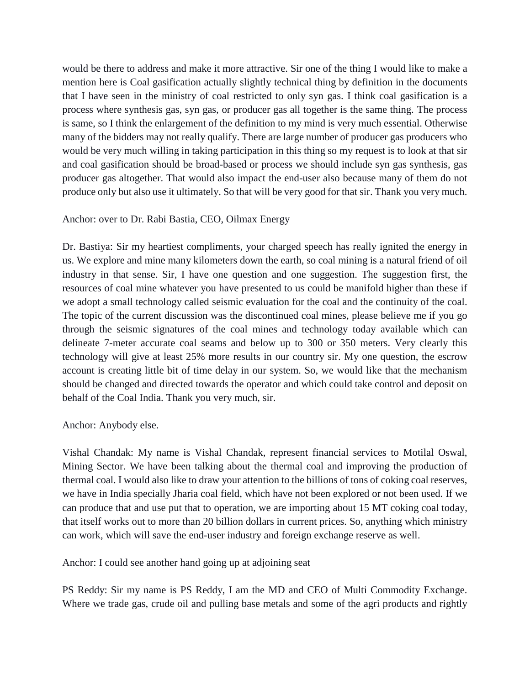would be there to address and make it more attractive. Sir one of the thing I would like to make a mention here is Coal gasification actually slightly technical thing by definition in the documents that I have seen in the ministry of coal restricted to only syn gas. I think coal gasification is a process where synthesis gas, syn gas, or producer gas all together is the same thing. The process is same, so I think the enlargement of the definition to my mind is very much essential. Otherwise many of the bidders may not really qualify. There are large number of producer gas producers who would be very much willing in taking participation in this thing so my request is to look at that sir and coal gasification should be broad-based or process we should include syn gas synthesis, gas producer gas altogether. That would also impact the end-user also because many of them do not produce only but also use it ultimately. So that will be very good for that sir. Thank you very much.

## Anchor: over to Dr. Rabi Bastia, CEO, Oilmax Energy

Dr. Bastiya: Sir my heartiest compliments, your charged speech has really ignited the energy in us. We explore and mine many kilometers down the earth, so coal mining is a natural friend of oil industry in that sense. Sir, I have one question and one suggestion. The suggestion first, the resources of coal mine whatever you have presented to us could be manifold higher than these if we adopt a small technology called seismic evaluation for the coal and the continuity of the coal. The topic of the current discussion was the discontinued coal mines, please believe me if you go through the seismic signatures of the coal mines and technology today available which can delineate 7-meter accurate coal seams and below up to 300 or 350 meters. Very clearly this technology will give at least 25% more results in our country sir. My one question, the escrow account is creating little bit of time delay in our system. So, we would like that the mechanism should be changed and directed towards the operator and which could take control and deposit on behalf of the Coal India. Thank you very much, sir.

### Anchor: Anybody else.

Vishal Chandak: My name is Vishal Chandak, represent financial services to Motilal Oswal, Mining Sector. We have been talking about the thermal coal and improving the production of thermal coal. I would also like to draw your attention to the billions of tons of coking coal reserves, we have in India specially Jharia coal field, which have not been explored or not been used. If we can produce that and use put that to operation, we are importing about 15 MT coking coal today, that itself works out to more than 20 billion dollars in current prices. So, anything which ministry can work, which will save the end-user industry and foreign exchange reserve as well.

Anchor: I could see another hand going up at adjoining seat

PS Reddy: Sir my name is PS Reddy, I am the MD and CEO of Multi Commodity Exchange. Where we trade gas, crude oil and pulling base metals and some of the agri products and rightly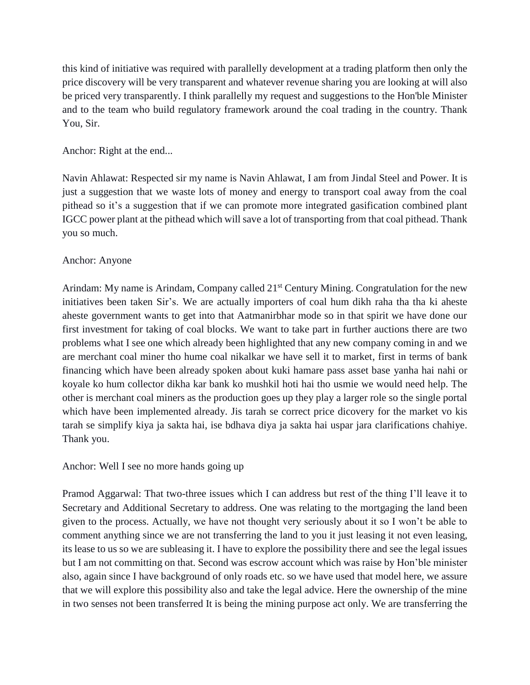this kind of initiative was required with parallelly development at a trading platform then only the price discovery will be very transparent and whatever revenue sharing you are looking at will also be priced very transparently. I think parallelly my request and suggestions to the Hon'ble Minister and to the team who build regulatory framework around the coal trading in the country. Thank You, Sir.

# Anchor: Right at the end...

Navin Ahlawat: Respected sir my name is Navin Ahlawat, I am from Jindal Steel and Power. It is just a suggestion that we waste lots of money and energy to transport coal away from the coal pithead so it's a suggestion that if we can promote more integrated gasification combined plant IGCC power plant at the pithead which will save a lot of transporting from that coal pithead. Thank you so much.

## Anchor: Anyone

Arindam: My name is Arindam, Company called 21<sup>st</sup> Century Mining. Congratulation for the new initiatives been taken Sir's. We are actually importers of coal hum dikh raha tha tha ki aheste aheste government wants to get into that Aatmanirbhar mode so in that spirit we have done our first investment for taking of coal blocks. We want to take part in further auctions there are two problems what I see one which already been highlighted that any new company coming in and we are merchant coal miner tho hume coal nikalkar we have sell it to market, first in terms of bank financing which have been already spoken about kuki hamare pass asset base yanha hai nahi or koyale ko hum collector dikha kar bank ko mushkil hoti hai tho usmie we would need help. The other is merchant coal miners as the production goes up they play a larger role so the single portal which have been implemented already. Jis tarah se correct price dicovery for the market vo kis tarah se simplify kiya ja sakta hai, ise bdhava diya ja sakta hai uspar jara clarifications chahiye. Thank you.

Anchor: Well I see no more hands going up

Pramod Aggarwal: That two-three issues which I can address but rest of the thing I'll leave it to Secretary and Additional Secretary to address. One was relating to the mortgaging the land been given to the process. Actually, we have not thought very seriously about it so I won't be able to comment anything since we are not transferring the land to you it just leasing it not even leasing, its lease to us so we are subleasing it. I have to explore the possibility there and see the legal issues but I am not committing on that. Second was escrow account which was raise by Hon'ble minister also, again since I have background of only roads etc. so we have used that model here, we assure that we will explore this possibility also and take the legal advice. Here the ownership of the mine in two senses not been transferred It is being the mining purpose act only. We are transferring the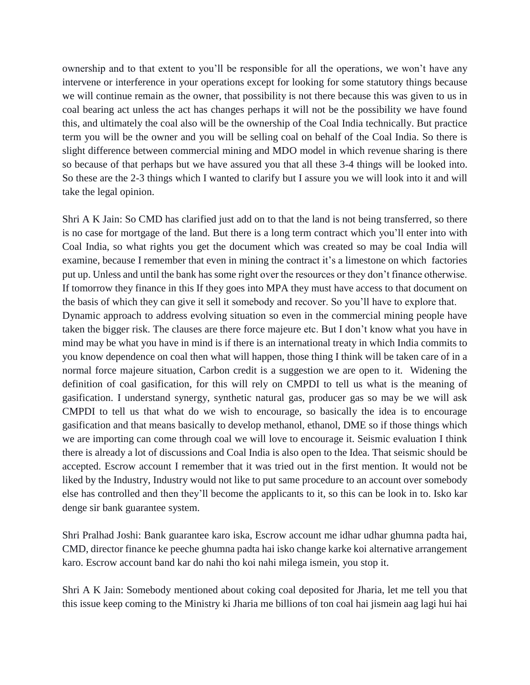ownership and to that extent to you'll be responsible for all the operations, we won't have any intervene or interference in your operations except for looking for some statutory things because we will continue remain as the owner, that possibility is not there because this was given to us in coal bearing act unless the act has changes perhaps it will not be the possibility we have found this, and ultimately the coal also will be the ownership of the Coal India technically. But practice term you will be the owner and you will be selling coal on behalf of the Coal India. So there is slight difference between commercial mining and MDO model in which revenue sharing is there so because of that perhaps but we have assured you that all these 3-4 things will be looked into. So these are the 2-3 things which I wanted to clarify but I assure you we will look into it and will take the legal opinion.

Shri A K Jain: So CMD has clarified just add on to that the land is not being transferred, so there is no case for mortgage of the land. But there is a long term contract which you'll enter into with Coal India, so what rights you get the document which was created so may be coal India will examine, because I remember that even in mining the contract it's a limestone on which factories put up. Unless and until the bank has some right over the resources or they don't finance otherwise. If tomorrow they finance in this If they goes into MPA they must have access to that document on the basis of which they can give it sell it somebody and recover. So you'll have to explore that.

Dynamic approach to address evolving situation so even in the commercial mining people have taken the bigger risk. The clauses are there force majeure etc. But I don't know what you have in mind may be what you have in mind is if there is an international treaty in which India commits to you know dependence on coal then what will happen, those thing I think will be taken care of in a normal force majeure situation, Carbon credit is a suggestion we are open to it. Widening the definition of coal gasification, for this will rely on CMPDI to tell us what is the meaning of gasification. I understand synergy, synthetic natural gas, producer gas so may be we will ask CMPDI to tell us that what do we wish to encourage, so basically the idea is to encourage gasification and that means basically to develop methanol, ethanol, DME so if those things which we are importing can come through coal we will love to encourage it. Seismic evaluation I think there is already a lot of discussions and Coal India is also open to the Idea. That seismic should be accepted. Escrow account I remember that it was tried out in the first mention. It would not be liked by the Industry, Industry would not like to put same procedure to an account over somebody else has controlled and then they'll become the applicants to it, so this can be look in to. Isko kar denge sir bank guarantee system.

Shri Pralhad Joshi: Bank guarantee karo iska, Escrow account me idhar udhar ghumna padta hai, CMD, director finance ke peeche ghumna padta hai isko change karke koi alternative arrangement karo. Escrow account band kar do nahi tho koi nahi milega ismein, you stop it.

Shri A K Jain: Somebody mentioned about coking coal deposited for Jharia, let me tell you that this issue keep coming to the Ministry ki Jharia me billions of ton coal hai jismein aag lagi hui hai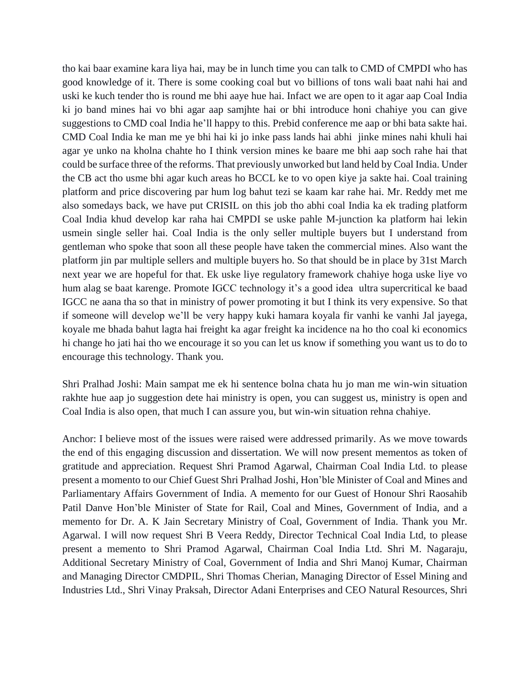tho kai baar examine kara liya hai, may be in lunch time you can talk to CMD of CMPDI who has good knowledge of it. There is some cooking coal but vo billions of tons wali baat nahi hai and uski ke kuch tender tho is round me bhi aaye hue hai. Infact we are open to it agar aap Coal India ki jo band mines hai vo bhi agar aap samjhte hai or bhi introduce honi chahiye you can give suggestions to CMD coal India he'll happy to this. Prebid conference me aap or bhi bata sakte hai. CMD Coal India ke man me ye bhi hai ki jo inke pass lands hai abhi jinke mines nahi khuli hai agar ye unko na kholna chahte ho I think version mines ke baare me bhi aap soch rahe hai that could be surface three of the reforms. That previously unworked but land held by Coal India. Under the CB act tho usme bhi agar kuch areas ho BCCL ke to vo open kiye ja sakte hai. Coal training platform and price discovering par hum log bahut tezi se kaam kar rahe hai. Mr. Reddy met me also somedays back, we have put CRISIL on this job tho abhi coal India ka ek trading platform Coal India khud develop kar raha hai CMPDI se uske pahle M-junction ka platform hai lekin usmein single seller hai. Coal India is the only seller multiple buyers but I understand from gentleman who spoke that soon all these people have taken the commercial mines. Also want the platform jin par multiple sellers and multiple buyers ho. So that should be in place by 31st March next year we are hopeful for that. Ek uske liye regulatory framework chahiye hoga uske liye vo hum alag se baat karenge. Promote IGCC technology it's a good idea ultra supercritical ke baad IGCC ne aana tha so that in ministry of power promoting it but I think its very expensive. So that if someone will develop we'll be very happy kuki hamara koyala fir vanhi ke vanhi Jal jayega, koyale me bhada bahut lagta hai freight ka agar freight ka incidence na ho tho coal ki economics hi change ho jati hai tho we encourage it so you can let us know if something you want us to do to encourage this technology. Thank you.

Shri Pralhad Joshi: Main sampat me ek hi sentence bolna chata hu jo man me win-win situation rakhte hue aap jo suggestion dete hai ministry is open, you can suggest us, ministry is open and Coal India is also open, that much I can assure you, but win-win situation rehna chahiye.

Anchor: I believe most of the issues were raised were addressed primarily. As we move towards the end of this engaging discussion and dissertation. We will now present mementos as token of gratitude and appreciation. Request Shri Pramod Agarwal, Chairman Coal India Ltd. to please present a momento to our Chief Guest Shri Pralhad Joshi, Hon'ble Minister of Coal and Mines and Parliamentary Affairs Government of India. A memento for our Guest of Honour Shri Raosahib Patil Danve Hon'ble Minister of State for Rail, Coal and Mines, Government of India, and a memento for Dr. A. K Jain Secretary Ministry of Coal, Government of India. Thank you Mr. Agarwal. I will now request Shri B Veera Reddy, Director Technical Coal India Ltd, to please present a memento to Shri Pramod Agarwal, Chairman Coal India Ltd. Shri M. Nagaraju, Additional Secretary Ministry of Coal, Government of India and Shri Manoj Kumar, Chairman and Managing Director CMDPIL, Shri Thomas Cherian, Managing Director of Essel Mining and Industries Ltd., Shri Vinay Praksah, Director Adani Enterprises and CEO Natural Resources, Shri